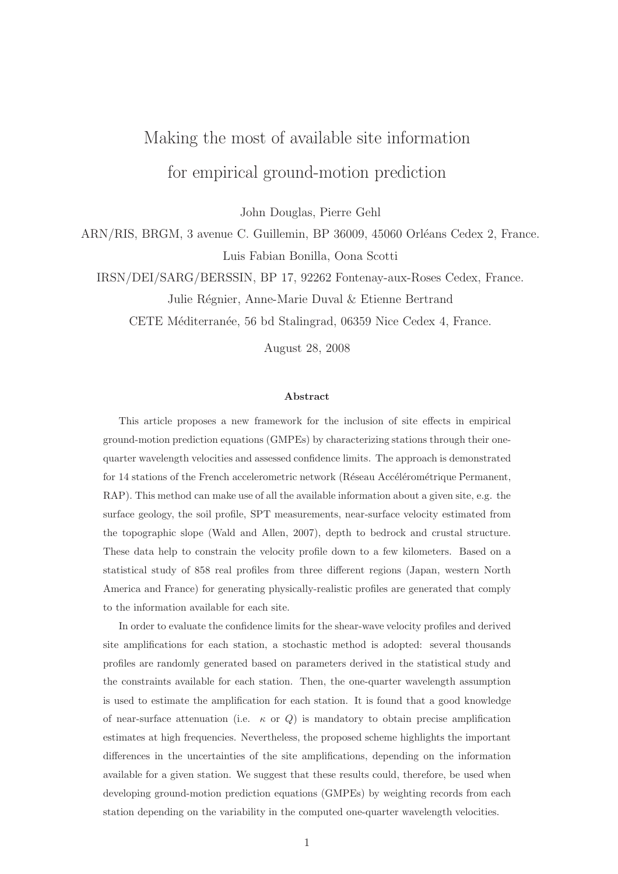# Making the most of available site information for empirical ground-motion prediction

John Douglas, Pierre Gehl

ARN/RIS, BRGM, 3 avenue C. Guillemin, BP 36009, 45060 Orléans Cedex 2, France. Luis Fabian Bonilla, Oona Scotti

IRSN/DEI/SARG/BERSSIN, BP 17, 92262 Fontenay-aux-Roses Cedex, France.

Julie Régnier, Anne-Marie Duval & Etienne Bertrand

CETE Méditerranée, 56 bd Stalingrad, 06359 Nice Cedex 4, France.

August 28, 2008

#### Abstract

This article proposes a new framework for the inclusion of site effects in empirical ground-motion prediction equations (GMPEs) by characterizing stations through their onequarter wavelength velocities and assessed confidence limits. The approach is demonstrated for 14 stations of the French accelerometric network (Réseau Accélérométrique Permanent, RAP). This method can make use of all the available information about a given site, e.g. the surface geology, the soil profile, SPT measurements, near-surface velocity estimated from the topographic slope (Wald and Allen, 2007), depth to bedrock and crustal structure. These data help to constrain the velocity profile down to a few kilometers. Based on a statistical study of 858 real profiles from three different regions (Japan, western North America and France) for generating physically-realistic profiles are generated that comply to the information available for each site.

In order to evaluate the confidence limits for the shear-wave velocity profiles and derived site amplifications for each station, a stochastic method is adopted: several thousands profiles are randomly generated based on parameters derived in the statistical study and the constraints available for each station. Then, the one-quarter wavelength assumption is used to estimate the amplification for each station. It is found that a good knowledge of near-surface attenuation (i.e.  $\kappa$  or  $Q$ ) is mandatory to obtain precise amplification estimates at high frequencies. Nevertheless, the proposed scheme highlights the important differences in the uncertainties of the site amplifications, depending on the information available for a given station. We suggest that these results could, therefore, be used when developing ground-motion prediction equations (GMPEs) by weighting records from each station depending on the variability in the computed one-quarter wavelength velocities.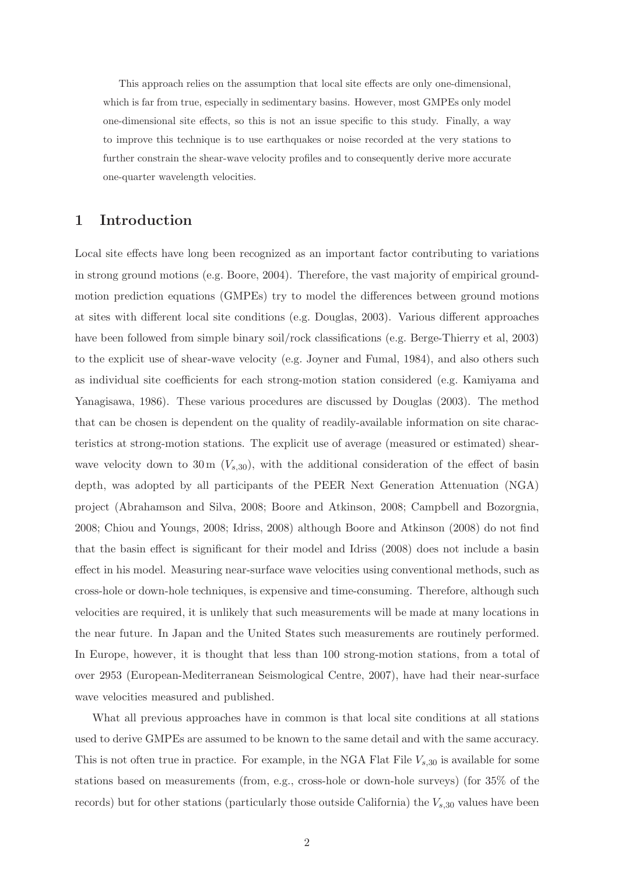This approach relies on the assumption that local site effects are only one-dimensional, which is far from true, especially in sedimentary basins. However, most GMPEs only model one-dimensional site effects, so this is not an issue specific to this study. Finally, a way to improve this technique is to use earthquakes or noise recorded at the very stations to further constrain the shear-wave velocity profiles and to consequently derive more accurate one-quarter wavelength velocities.

# 1 Introduction

Local site effects have long been recognized as an important factor contributing to variations in strong ground motions (e.g. Boore, 2004). Therefore, the vast majority of empirical groundmotion prediction equations (GMPEs) try to model the differences between ground motions at sites with different local site conditions (e.g. Douglas, 2003). Various different approaches have been followed from simple binary soil/rock classifications (e.g. Berge-Thierry et al, 2003) to the explicit use of shear-wave velocity (e.g. Joyner and Fumal, 1984), and also others such as individual site coefficients for each strong-motion station considered (e.g. Kamiyama and Yanagisawa, 1986). These various procedures are discussed by Douglas (2003). The method that can be chosen is dependent on the quality of readily-available information on site characteristics at strong-motion stations. The explicit use of average (measured or estimated) shearwave velocity down to 30 m  $(V_{s,30})$ , with the additional consideration of the effect of basin depth, was adopted by all participants of the PEER Next Generation Attenuation (NGA) project (Abrahamson and Silva, 2008; Boore and Atkinson, 2008; Campbell and Bozorgnia, 2008; Chiou and Youngs, 2008; Idriss, 2008) although Boore and Atkinson (2008) do not find that the basin effect is significant for their model and Idriss (2008) does not include a basin effect in his model. Measuring near-surface wave velocities using conventional methods, such as cross-hole or down-hole techniques, is expensive and time-consuming. Therefore, although such velocities are required, it is unlikely that such measurements will be made at many locations in the near future. In Japan and the United States such measurements are routinely performed. In Europe, however, it is thought that less than 100 strong-motion stations, from a total of over 2953 (European-Mediterranean Seismological Centre, 2007), have had their near-surface wave velocities measured and published.

What all previous approaches have in common is that local site conditions at all stations used to derive GMPEs are assumed to be known to the same detail and with the same accuracy. This is not often true in practice. For example, in the NGA Flat File  $V_{s,30}$  is available for some stations based on measurements (from, e.g., cross-hole or down-hole surveys) (for 35% of the records) but for other stations (particularly those outside California) the  $V_{s,30}$  values have been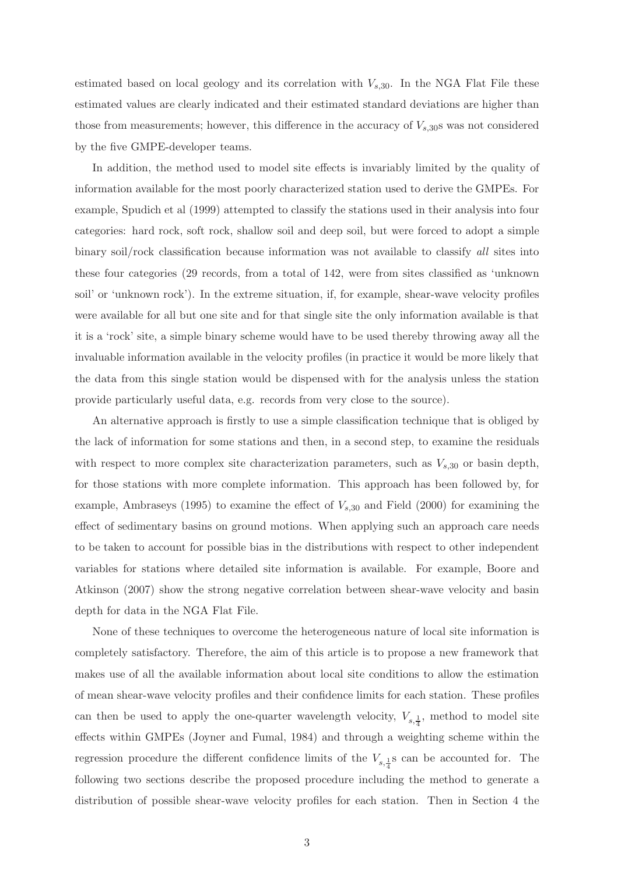estimated based on local geology and its correlation with  $V_{s,30}$ . In the NGA Flat File these estimated values are clearly indicated and their estimated standard deviations are higher than those from measurements; however, this difference in the accuracy of  $V_{s,30}$ s was not considered by the five GMPE-developer teams.

In addition, the method used to model site effects is invariably limited by the quality of information available for the most poorly characterized station used to derive the GMPEs. For example, Spudich et al (1999) attempted to classify the stations used in their analysis into four categories: hard rock, soft rock, shallow soil and deep soil, but were forced to adopt a simple binary soil/rock classification because information was not available to classify all sites into these four categories (29 records, from a total of 142, were from sites classified as 'unknown soil' or 'unknown rock'). In the extreme situation, if, for example, shear-wave velocity profiles were available for all but one site and for that single site the only information available is that it is a 'rock' site, a simple binary scheme would have to be used thereby throwing away all the invaluable information available in the velocity profiles (in practice it would be more likely that the data from this single station would be dispensed with for the analysis unless the station provide particularly useful data, e.g. records from very close to the source).

An alternative approach is firstly to use a simple classification technique that is obliged by the lack of information for some stations and then, in a second step, to examine the residuals with respect to more complex site characterization parameters, such as  $V_{s,30}$  or basin depth, for those stations with more complete information. This approach has been followed by, for example, Ambraseys (1995) to examine the effect of  $V_{s,30}$  and Field (2000) for examining the effect of sedimentary basins on ground motions. When applying such an approach care needs to be taken to account for possible bias in the distributions with respect to other independent variables for stations where detailed site information is available. For example, Boore and Atkinson (2007) show the strong negative correlation between shear-wave velocity and basin depth for data in the NGA Flat File.

None of these techniques to overcome the heterogeneous nature of local site information is completely satisfactory. Therefore, the aim of this article is to propose a new framework that makes use of all the available information about local site conditions to allow the estimation of mean shear-wave velocity profiles and their confidence limits for each station. These profiles can then be used to apply the one-quarter wavelength velocity,  $V_{s,\frac{1}{4}}$ , method to model site effects within GMPEs (Joyner and Fumal, 1984) and through a weighting scheme within the regression procedure the different confidence limits of the  $V_{s,\frac{1}{4}}$  can be accounted for. The following two sections describe the proposed procedure including the method to generate a distribution of possible shear-wave velocity profiles for each station. Then in Section 4 the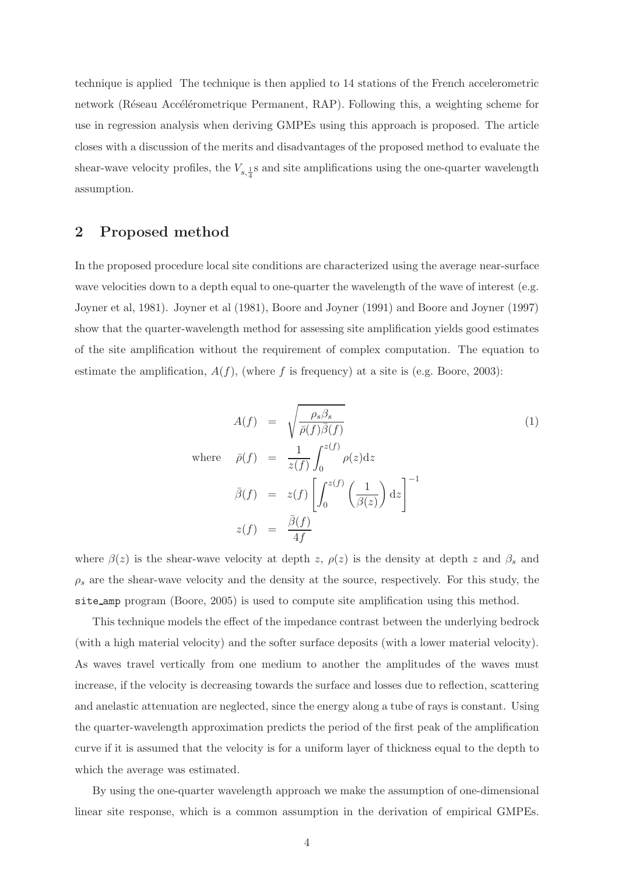technique is applied The technique is then applied to 14 stations of the French accelerometric network (Réseau Accélérometrique Permanent, RAP). Following this, a weighting scheme for use in regression analysis when deriving GMPEs using this approach is proposed. The article closes with a discussion of the merits and disadvantages of the proposed method to evaluate the shear-wave velocity profiles, the  $V_{s,\frac{1}{4}}$ s and site amplifications using the one-quarter wavelength assumption.

### 2 Proposed method

In the proposed procedure local site conditions are characterized using the average near-surface wave velocities down to a depth equal to one-quarter the wavelength of the wave of interest (e.g. Joyner et al, 1981). Joyner et al (1981), Boore and Joyner (1991) and Boore and Joyner (1997) show that the quarter-wavelength method for assessing site amplification yields good estimates of the site amplification without the requirement of complex computation. The equation to estimate the amplification,  $A(f)$ , (where f is frequency) at a site is (e.g. Boore, 2003):

$$
A(f) = \sqrt{\frac{\rho_s \beta_s}{\bar{\rho}(f)\bar{\beta}(f)}}
$$
  
\nwhere  $\bar{\rho}(f) = \frac{1}{z(f)} \int_0^{z(f)} \rho(z) dz$   
\n
$$
\bar{\beta}(f) = z(f) \left[ \int_0^{z(f)} \left( \frac{1}{\beta(z)} \right) dz \right]^{-1}
$$
  
\n
$$
z(f) = \frac{\bar{\beta}(f)}{4f}
$$

where  $\beta(z)$  is the shear-wave velocity at depth z,  $\rho(z)$  is the density at depth z and  $\beta_s$  and  $\rho_s$  are the shear-wave velocity and the density at the source, respectively. For this study, the site amp program (Boore, 2005) is used to compute site amplification using this method.

This technique models the effect of the impedance contrast between the underlying bedrock (with a high material velocity) and the softer surface deposits (with a lower material velocity). As waves travel vertically from one medium to another the amplitudes of the waves must increase, if the velocity is decreasing towards the surface and losses due to reflection, scattering and anelastic attenuation are neglected, since the energy along a tube of rays is constant. Using the quarter-wavelength approximation predicts the period of the first peak of the amplification curve if it is assumed that the velocity is for a uniform layer of thickness equal to the depth to which the average was estimated.

By using the one-quarter wavelength approach we make the assumption of one-dimensional linear site response, which is a common assumption in the derivation of empirical GMPEs.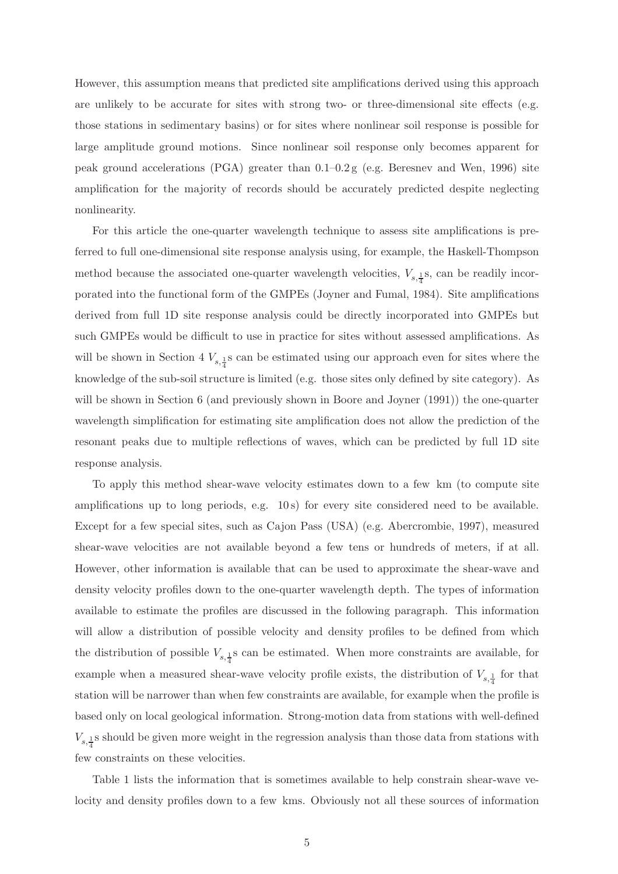However, this assumption means that predicted site amplifications derived using this approach are unlikely to be accurate for sites with strong two- or three-dimensional site effects (e.g. those stations in sedimentary basins) or for sites where nonlinear soil response is possible for large amplitude ground motions. Since nonlinear soil response only becomes apparent for peak ground accelerations (PGA) greater than 0.1–0.2 g (e.g. Beresnev and Wen, 1996) site amplification for the majority of records should be accurately predicted despite neglecting nonlinearity.

For this article the one-quarter wavelength technique to assess site amplifications is preferred to full one-dimensional site response analysis using, for example, the Haskell-Thompson method because the associated one-quarter wavelength velocities,  $V_{s,\frac{1}{4}}$ s, can be readily incorporated into the functional form of the GMPEs (Joyner and Fumal, 1984). Site amplifications derived from full 1D site response analysis could be directly incorporated into GMPEs but such GMPEs would be difficult to use in practice for sites without assessed amplifications. As will be shown in Section 4  $V_{s,\frac{1}{4}}$  s can be estimated using our approach even for sites where the knowledge of the sub-soil structure is limited (e.g. those sites only defined by site category). As will be shown in Section 6 (and previously shown in Boore and Joyner (1991)) the one-quarter wavelength simplification for estimating site amplification does not allow the prediction of the resonant peaks due to multiple reflections of waves, which can be predicted by full 1D site response analysis.

To apply this method shear-wave velocity estimates down to a few km (to compute site amplifications up to long periods, e.g. 10s) for every site considered need to be available. Except for a few special sites, such as Cajon Pass (USA) (e.g. Abercrombie, 1997), measured shear-wave velocities are not available beyond a few tens or hundreds of meters, if at all. However, other information is available that can be used to approximate the shear-wave and density velocity profiles down to the one-quarter wavelength depth. The types of information available to estimate the profiles are discussed in the following paragraph. This information will allow a distribution of possible velocity and density profiles to be defined from which the distribution of possible  $V_{s,\frac{1}{4}}$ s can be estimated. When more constraints are available, for example when a measured shear-wave velocity profile exists, the distribution of  $V_{s,\frac{1}{4}}$  for that station will be narrower than when few constraints are available, for example when the profile is based only on local geological information. Strong-motion data from stations with well-defined  $V_{s,\frac{1}{4}}$ s should be given more weight in the regression analysis than those data from stations with few constraints on these velocities.

Table 1 lists the information that is sometimes available to help constrain shear-wave velocity and density profiles down to a few kms. Obviously not all these sources of information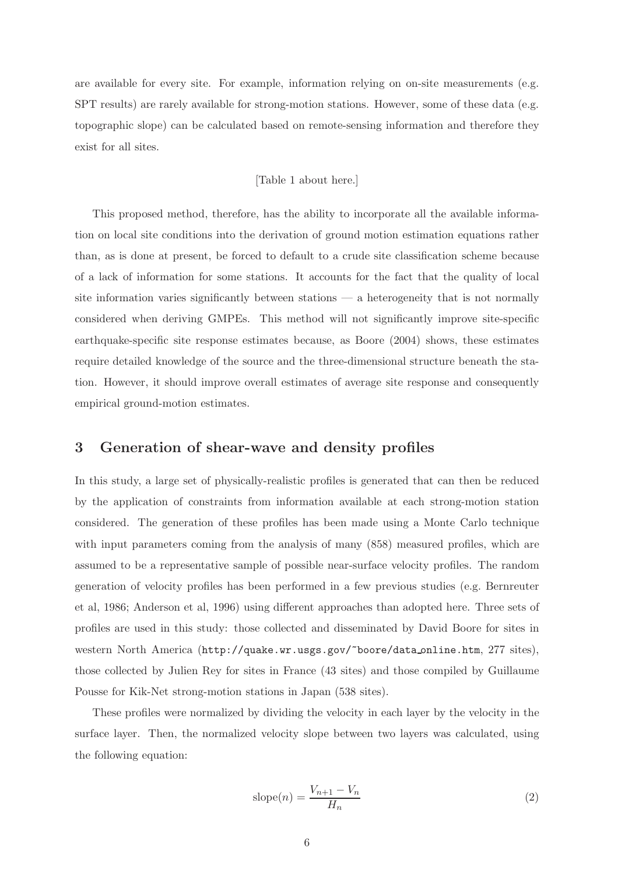are available for every site. For example, information relying on on-site measurements (e.g. SPT results) are rarely available for strong-motion stations. However, some of these data (e.g. topographic slope) can be calculated based on remote-sensing information and therefore they exist for all sites.

#### [Table 1 about here.]

This proposed method, therefore, has the ability to incorporate all the available information on local site conditions into the derivation of ground motion estimation equations rather than, as is done at present, be forced to default to a crude site classification scheme because of a lack of information for some stations. It accounts for the fact that the quality of local site information varies significantly between stations — a heterogeneity that is not normally considered when deriving GMPEs. This method will not significantly improve site-specific earthquake-specific site response estimates because, as Boore (2004) shows, these estimates require detailed knowledge of the source and the three-dimensional structure beneath the station. However, it should improve overall estimates of average site response and consequently empirical ground-motion estimates.

# 3 Generation of shear-wave and density profiles

In this study, a large set of physically-realistic profiles is generated that can then be reduced by the application of constraints from information available at each strong-motion station considered. The generation of these profiles has been made using a Monte Carlo technique with input parameters coming from the analysis of many  $(858)$  measured profiles, which are assumed to be a representative sample of possible near-surface velocity profiles. The random generation of velocity profiles has been performed in a few previous studies (e.g. Bernreuter et al, 1986; Anderson et al, 1996) using different approaches than adopted here. Three sets of profiles are used in this study: those collected and disseminated by David Boore for sites in western North America (http://quake.wr.usgs.gov/~boore/data online.htm, 277 sites), those collected by Julien Rey for sites in France (43 sites) and those compiled by Guillaume Pousse for Kik-Net strong-motion stations in Japan (538 sites).

These profiles were normalized by dividing the velocity in each layer by the velocity in the surface layer. Then, the normalized velocity slope between two layers was calculated, using the following equation:

$$
slope(n) = \frac{V_{n+1} - V_n}{H_n} \tag{2}
$$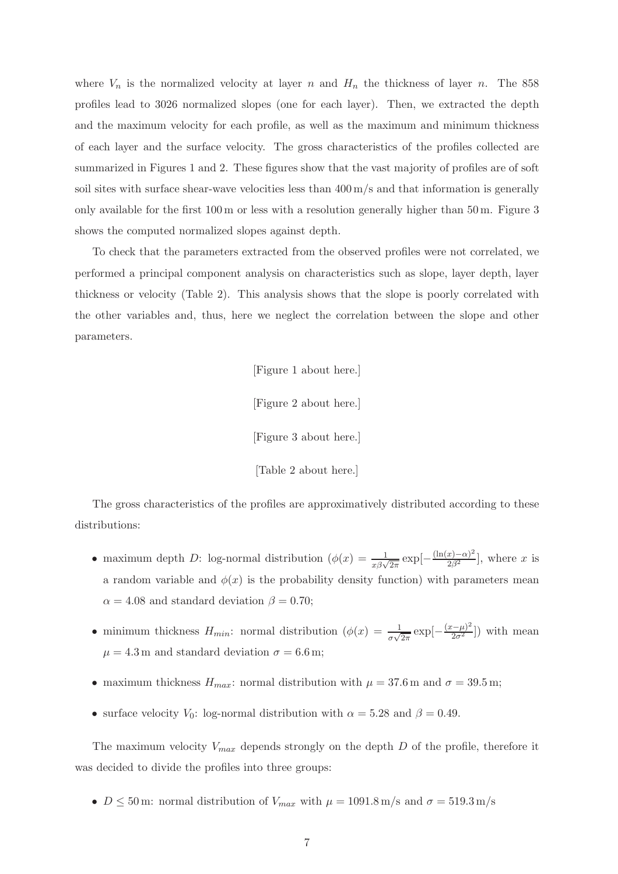where  $V_n$  is the normalized velocity at layer n and  $H_n$  the thickness of layer n. The 858 profiles lead to 3026 normalized slopes (one for each layer). Then, we extracted the depth and the maximum velocity for each profile, as well as the maximum and minimum thickness of each layer and the surface velocity. The gross characteristics of the profiles collected are summarized in Figures 1 and 2. These figures show that the vast majority of profiles are of soft soil sites with surface shear-wave velocities less than  $400 \,\mathrm{m/s}$  and that information is generally only available for the first 100 m or less with a resolution generally higher than 50 m. Figure 3 shows the computed normalized slopes against depth.

To check that the parameters extracted from the observed profiles were not correlated, we performed a principal component analysis on characteristics such as slope, layer depth, layer thickness or velocity (Table 2). This analysis shows that the slope is poorly correlated with the other variables and, thus, here we neglect the correlation between the slope and other parameters.

> [Figure 1 about here.] [Figure 2 about here.] [Figure 3 about here.] [Table 2 about here.]

The gross characteristics of the profiles are approximatively distributed according to these distributions:

- maximum depth D: log-normal distribution  $(\phi(x) = \frac{1}{x\beta\sqrt{2\pi}} \exp[-\frac{(\ln(x)-\alpha)^2}{2\beta^2}]$ , where x is a random variable and  $\phi(x)$  is the probability density function) with parameters mean  $\alpha = 4.08$  and standard deviation  $\beta = 0.70$ ;
- minimum thickness  $H_{min}$ : normal distribution  $(\phi(x) = \frac{1}{\sigma\sqrt{2\pi}}\exp[-\frac{(x-\mu)^2}{2\sigma^2}])$  with mean  $\mu = 4.3 \,\mathrm{m}$  and standard deviation  $\sigma = 6.6 \,\mathrm{m}$ ;
- maximum thickness  $H_{max}$ : normal distribution with  $\mu = 37.6$  m and  $\sigma = 39.5$  m;
- surface velocity  $V_0$ : log-normal distribution with  $\alpha = 5.28$  and  $\beta = 0.49$ .

The maximum velocity  $V_{max}$  depends strongly on the depth D of the profile, therefore it was decided to divide the profiles into three groups:

•  $D \leq 50$  m: normal distribution of  $V_{max}$  with  $\mu = 1091.8$  m/s and  $\sigma = 519.3$  m/s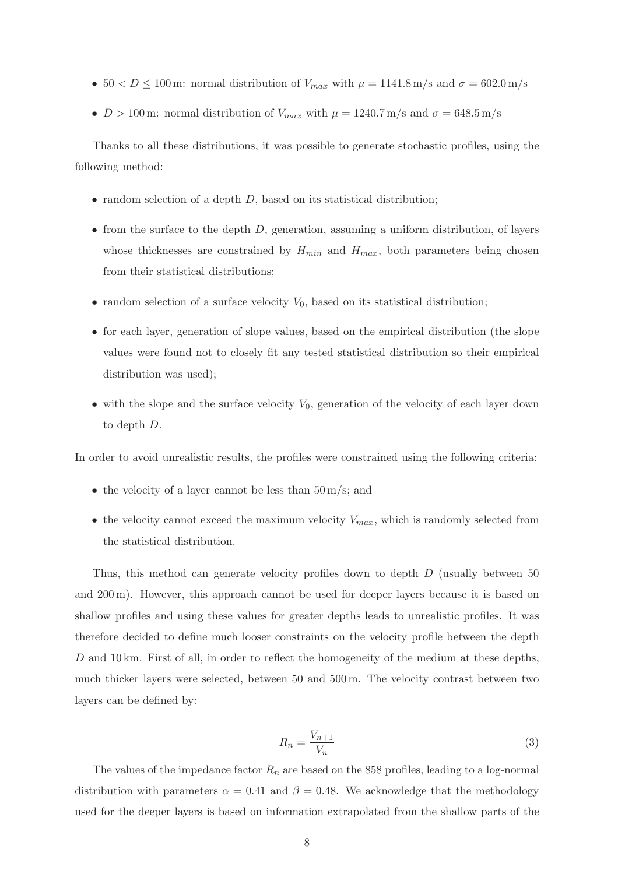- $50 < D \le 100$  m: normal distribution of  $V_{max}$  with  $\mu = 1141.8$  m/s and  $\sigma = 602.0$  m/s
- $D > 100$  m: normal distribution of  $V_{max}$  with  $\mu = 1240.7$  m/s and  $\sigma = 648.5$  m/s

Thanks to all these distributions, it was possible to generate stochastic profiles, using the following method:

- random selection of a depth  $D$ , based on its statistical distribution;
- from the surface to the depth  $D$ , generation, assuming a uniform distribution, of layers whose thicknesses are constrained by  $H_{min}$  and  $H_{max}$ , both parameters being chosen from their statistical distributions;
- random selection of a surface velocity  $V_0$ , based on its statistical distribution;
- for each layer, generation of slope values, based on the empirical distribution (the slope values were found not to closely fit any tested statistical distribution so their empirical distribution was used);
- with the slope and the surface velocity  $V_0$ , generation of the velocity of each layer down to depth D.

In order to avoid unrealistic results, the profiles were constrained using the following criteria:

- the velocity of a layer cannot be less than  $50 \,\mathrm{m/s}$ ; and
- the velocity cannot exceed the maximum velocity  $V_{max}$ , which is randomly selected from the statistical distribution.

Thus, this method can generate velocity profiles down to depth D (usually between 50 and 200 m). However, this approach cannot be used for deeper layers because it is based on shallow profiles and using these values for greater depths leads to unrealistic profiles. It was therefore decided to define much looser constraints on the velocity profile between the depth D and  $10 \text{ km}$ . First of all, in order to reflect the homogeneity of the medium at these depths, much thicker layers were selected, between 50 and 500 m. The velocity contrast between two layers can be defined by:

$$
R_n = \frac{V_{n+1}}{V_n} \tag{3}
$$

The values of the impedance factor  $R_n$  are based on the 858 profiles, leading to a log-normal distribution with parameters  $\alpha = 0.41$  and  $\beta = 0.48$ . We acknowledge that the methodology used for the deeper layers is based on information extrapolated from the shallow parts of the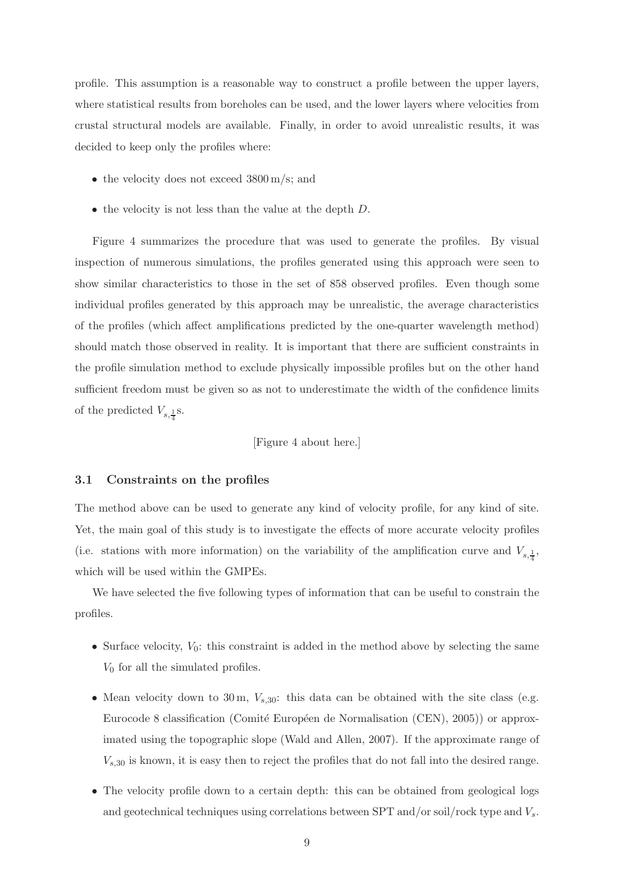profile. This assumption is a reasonable way to construct a profile between the upper layers, where statistical results from boreholes can be used, and the lower layers where velocities from crustal structural models are available. Finally, in order to avoid unrealistic results, it was decided to keep only the profiles where:

- the velocity does not exceed 3800 m/s; and
- the velocity is not less than the value at the depth  $D$ .

Figure 4 summarizes the procedure that was used to generate the profiles. By visual inspection of numerous simulations, the profiles generated using this approach were seen to show similar characteristics to those in the set of 858 observed profiles. Even though some individual profiles generated by this approach may be unrealistic, the average characteristics of the profiles (which affect amplifications predicted by the one-quarter wavelength method) should match those observed in reality. It is important that there are sufficient constraints in the profile simulation method to exclude physically impossible profiles but on the other hand sufficient freedom must be given so as not to underestimate the width of the confidence limits of the predicted  $V_{s,\frac{1}{4}}$ s.

#### [Figure 4 about here.]

#### 3.1 Constraints on the profiles

The method above can be used to generate any kind of velocity profile, for any kind of site. Yet, the main goal of this study is to investigate the effects of more accurate velocity profiles (i.e. stations with more information) on the variability of the amplification curve and  $V_{s,\frac{1}{4}}$ , which will be used within the GMPEs.

We have selected the five following types of information that can be useful to constrain the profiles.

- Surface velocity,  $V_0$ : this constraint is added in the method above by selecting the same  $V_0$  for all the simulated profiles.
- Mean velocity down to 30 m,  $V_{s,30}$ : this data can be obtained with the site class (e.g. Eurocode 8 classification (Comité Européen de Normalisation (CEN), 2005)) or approximated using the topographic slope (Wald and Allen, 2007). If the approximate range of  $V_{s,30}$  is known, it is easy then to reject the profiles that do not fall into the desired range.
- The velocity profile down to a certain depth: this can be obtained from geological logs and geotechnical techniques using correlations between SPT and/or soil/rock type and  $V_s$ .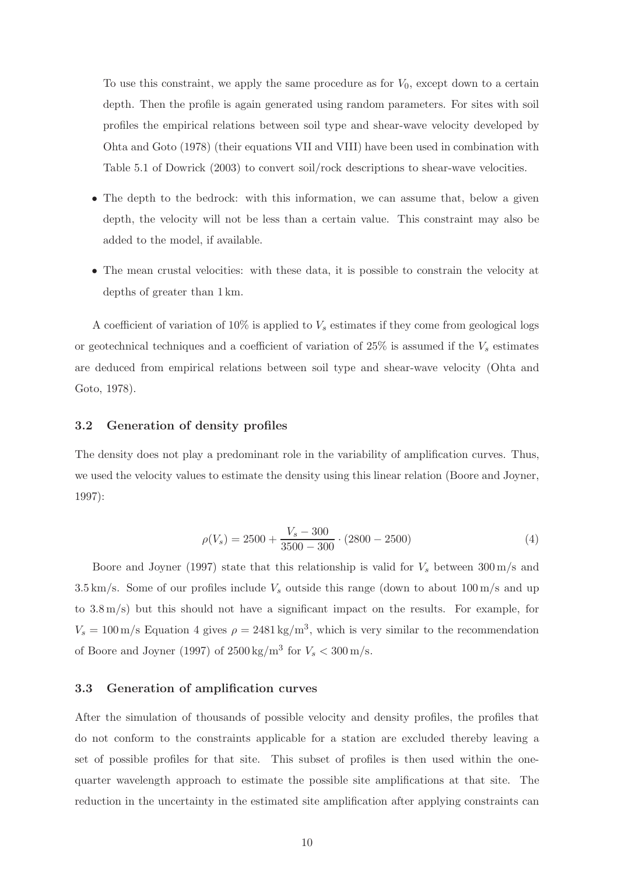To use this constraint, we apply the same procedure as for  $V_0$ , except down to a certain depth. Then the profile is again generated using random parameters. For sites with soil profiles the empirical relations between soil type and shear-wave velocity developed by Ohta and Goto (1978) (their equations VII and VIII) have been used in combination with Table 5.1 of Dowrick (2003) to convert soil/rock descriptions to shear-wave velocities.

- The depth to the bedrock: with this information, we can assume that, below a given depth, the velocity will not be less than a certain value. This constraint may also be added to the model, if available.
- The mean crustal velocities: with these data, it is possible to constrain the velocity at depths of greater than 1 km.

A coefficient of variation of 10% is applied to  $V_s$  estimates if they come from geological logs or geotechnical techniques and a coefficient of variation of  $25\%$  is assumed if the  $V_s$  estimates are deduced from empirical relations between soil type and shear-wave velocity (Ohta and Goto, 1978).

#### 3.2 Generation of density profiles

The density does not play a predominant role in the variability of amplification curves. Thus, we used the velocity values to estimate the density using this linear relation (Boore and Joyner, 1997):

$$
\rho(V_s) = 2500 + \frac{V_s - 300}{3500 - 300} \cdot (2800 - 2500) \tag{4}
$$

Boore and Joyner (1997) state that this relationship is valid for  $V_s$  between 300 m/s and 3.5 km/s. Some of our profiles include  $V_s$  outside this range (down to about 100 m/s and up to 3.8 m/s) but this should not have a significant impact on the results. For example, for  $V_s = 100 \,\mathrm{m/s}$  Equation 4 gives  $\rho = 2481 \,\mathrm{kg/m^3}$ , which is very similar to the recommendation of Boore and Joyner (1997) of  $2500 \text{ kg/m}^3$  for  $V_s < 300 \text{ m/s}$ .

### 3.3 Generation of amplification curves

After the simulation of thousands of possible velocity and density profiles, the profiles that do not conform to the constraints applicable for a station are excluded thereby leaving a set of possible profiles for that site. This subset of profiles is then used within the onequarter wavelength approach to estimate the possible site amplifications at that site. The reduction in the uncertainty in the estimated site amplification after applying constraints can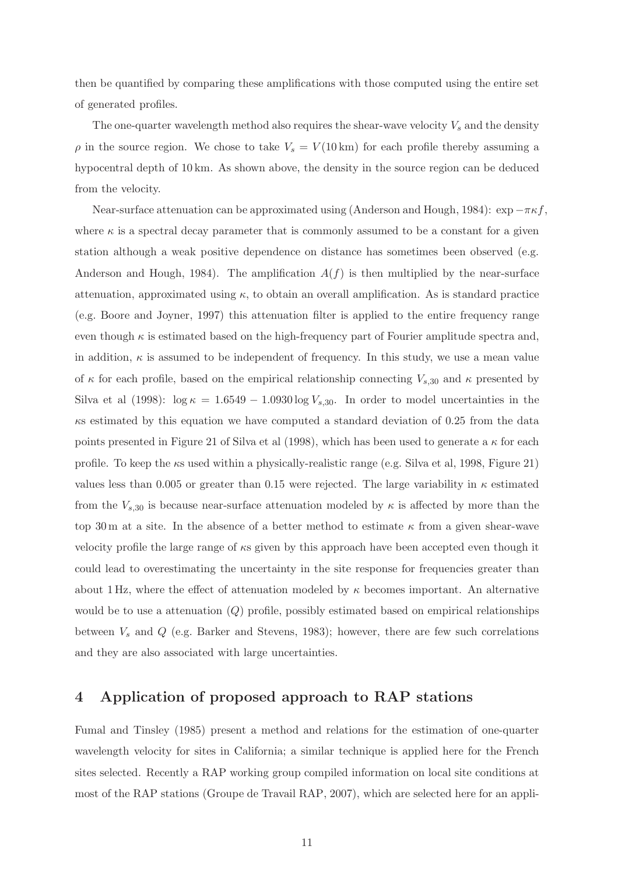then be quantified by comparing these amplifications with those computed using the entire set of generated profiles.

The one-quarter wavelength method also requires the shear-wave velocity  $V_s$  and the density  $\rho$  in the source region. We chose to take  $V_s = V(10 \text{ km})$  for each profile thereby assuming a hypocentral depth of 10 km. As shown above, the density in the source region can be deduced from the velocity.

Near-surface attenuation can be approximated using (Anderson and Hough, 1984):  $\exp -\pi \kappa f$ , where  $\kappa$  is a spectral decay parameter that is commonly assumed to be a constant for a given station although a weak positive dependence on distance has sometimes been observed (e.g. Anderson and Hough, 1984). The amplification  $A(f)$  is then multiplied by the near-surface attenuation, approximated using  $\kappa$ , to obtain an overall amplification. As is standard practice (e.g. Boore and Joyner, 1997) this attenuation filter is applied to the entire frequency range even though  $\kappa$  is estimated based on the high-frequency part of Fourier amplitude spectra and, in addition,  $\kappa$  is assumed to be independent of frequency. In this study, we use a mean value of  $\kappa$  for each profile, based on the empirical relationship connecting  $V_{s,30}$  and  $\kappa$  presented by Silva et al (1998):  $\log \kappa = 1.6549 - 1.0930 \log V_{s,30}$ . In order to model uncertainties in the  $\kappa$ s estimated by this equation we have computed a standard deviation of 0.25 from the data points presented in Figure 21 of Silva et al (1998), which has been used to generate a  $\kappa$  for each profile. To keep the  $\kappa s$  used within a physically-realistic range (e.g. Silva et al, 1998, Figure 21) values less than 0.005 or greater than 0.15 were rejected. The large variability in  $\kappa$  estimated from the  $V_{s,30}$  is because near-surface attenuation modeled by  $\kappa$  is affected by more than the top 30 m at a site. In the absence of a better method to estimate  $\kappa$  from a given shear-wave velocity profile the large range of  $\kappa s$  given by this approach have been accepted even though it could lead to overestimating the uncertainty in the site response for frequencies greater than about 1 Hz, where the effect of attenuation modeled by  $\kappa$  becomes important. An alternative would be to use a attenuation  $(Q)$  profile, possibly estimated based on empirical relationships between  $V_s$  and  $Q$  (e.g. Barker and Stevens, 1983); however, there are few such correlations and they are also associated with large uncertainties.

# 4 Application of proposed approach to RAP stations

Fumal and Tinsley (1985) present a method and relations for the estimation of one-quarter wavelength velocity for sites in California; a similar technique is applied here for the French sites selected. Recently a RAP working group compiled information on local site conditions at most of the RAP stations (Groupe de Travail RAP, 2007), which are selected here for an appli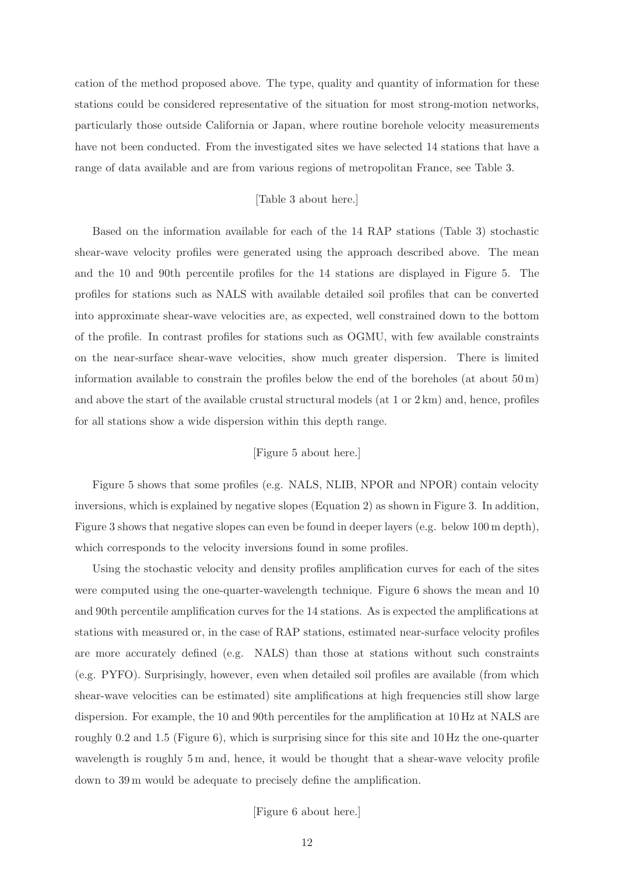cation of the method proposed above. The type, quality and quantity of information for these stations could be considered representative of the situation for most strong-motion networks, particularly those outside California or Japan, where routine borehole velocity measurements have not been conducted. From the investigated sites we have selected 14 stations that have a range of data available and are from various regions of metropolitan France, see Table 3.

#### [Table 3 about here.]

Based on the information available for each of the 14 RAP stations (Table 3) stochastic shear-wave velocity profiles were generated using the approach described above. The mean and the 10 and 90th percentile profiles for the 14 stations are displayed in Figure 5. The profiles for stations such as NALS with available detailed soil profiles that can be converted into approximate shear-wave velocities are, as expected, well constrained down to the bottom of the profile. In contrast profiles for stations such as OGMU, with few available constraints on the near-surface shear-wave velocities, show much greater dispersion. There is limited information available to constrain the profiles below the end of the boreholes (at about  $50 \,\mathrm{m}$ ) and above the start of the available crustal structural models (at 1 or 2 km) and, hence, profiles for all stations show a wide dispersion within this depth range.

#### [Figure 5 about here.]

Figure 5 shows that some profiles (e.g. NALS, NLIB, NPOR and NPOR) contain velocity inversions, which is explained by negative slopes (Equation 2) as shown in Figure 3. In addition, Figure 3 shows that negative slopes can even be found in deeper layers (e.g. below 100 m depth), which corresponds to the velocity inversions found in some profiles.

Using the stochastic velocity and density profiles amplification curves for each of the sites were computed using the one-quarter-wavelength technique. Figure 6 shows the mean and 10 and 90th percentile amplification curves for the 14 stations. As is expected the amplifications at stations with measured or, in the case of RAP stations, estimated near-surface velocity profiles are more accurately defined (e.g. NALS) than those at stations without such constraints (e.g. PYFO). Surprisingly, however, even when detailed soil profiles are available (from which shear-wave velocities can be estimated) site amplifications at high frequencies still show large dispersion. For example, the 10 and 90th percentiles for the amplification at 10 Hz at NALS are roughly 0.2 and 1.5 (Figure 6), which is surprising since for this site and 10 Hz the one-quarter wavelength is roughly 5 m and, hence, it would be thought that a shear-wave velocity profile down to 39 m would be adequate to precisely define the amplification.

[Figure 6 about here.]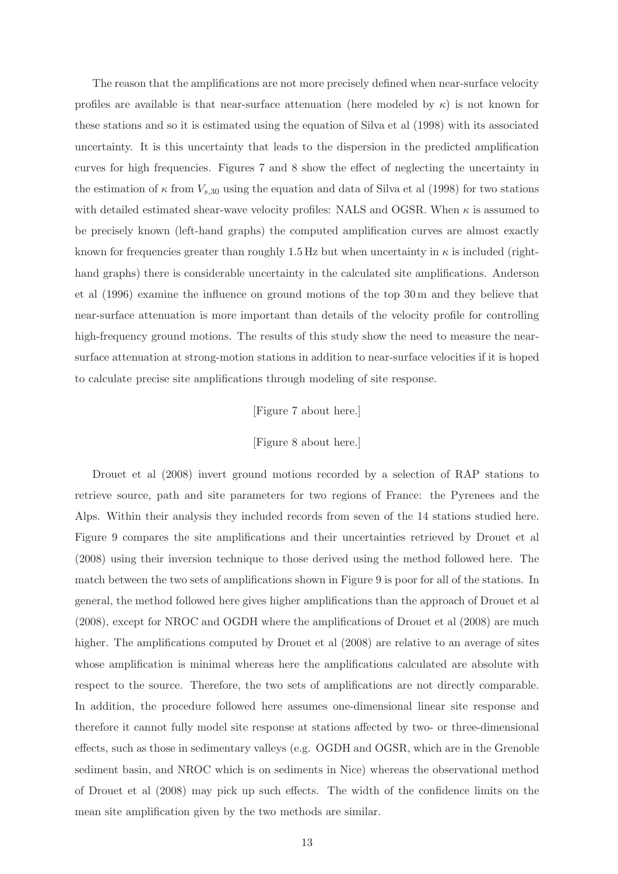The reason that the amplifications are not more precisely defined when near-surface velocity profiles are available is that near-surface attenuation (here modeled by  $\kappa$ ) is not known for these stations and so it is estimated using the equation of Silva et al (1998) with its associated uncertainty. It is this uncertainty that leads to the dispersion in the predicted amplification curves for high frequencies. Figures 7 and 8 show the effect of neglecting the uncertainty in the estimation of  $\kappa$  from  $V_{s,30}$  using the equation and data of Silva et al (1998) for two stations with detailed estimated shear-wave velocity profiles: NALS and OGSR. When  $\kappa$  is assumed to be precisely known (left-hand graphs) the computed amplification curves are almost exactly known for frequencies greater than roughly 1.5 Hz but when uncertainty in  $\kappa$  is included (righthand graphs) there is considerable uncertainty in the calculated site amplifications. Anderson et al (1996) examine the influence on ground motions of the top 30 m and they believe that near-surface attenuation is more important than details of the velocity profile for controlling high-frequency ground motions. The results of this study show the need to measure the nearsurface attenuation at strong-motion stations in addition to near-surface velocities if it is hoped to calculate precise site amplifications through modeling of site response.

#### [Figure 7 about here.]

#### [Figure 8 about here.]

Drouet et al (2008) invert ground motions recorded by a selection of RAP stations to retrieve source, path and site parameters for two regions of France: the Pyrenees and the Alps. Within their analysis they included records from seven of the 14 stations studied here. Figure 9 compares the site amplifications and their uncertainties retrieved by Drouet et al (2008) using their inversion technique to those derived using the method followed here. The match between the two sets of amplifications shown in Figure 9 is poor for all of the stations. In general, the method followed here gives higher amplifications than the approach of Drouet et al (2008), except for NROC and OGDH where the amplifications of Drouet et al (2008) are much higher. The amplifications computed by Drouet et al  $(2008)$  are relative to an average of sites whose amplification is minimal whereas here the amplifications calculated are absolute with respect to the source. Therefore, the two sets of amplifications are not directly comparable. In addition, the procedure followed here assumes one-dimensional linear site response and therefore it cannot fully model site response at stations affected by two- or three-dimensional effects, such as those in sedimentary valleys (e.g. OGDH and OGSR, which are in the Grenoble sediment basin, and NROC which is on sediments in Nice) whereas the observational method of Drouet et al (2008) may pick up such effects. The width of the confidence limits on the mean site amplification given by the two methods are similar.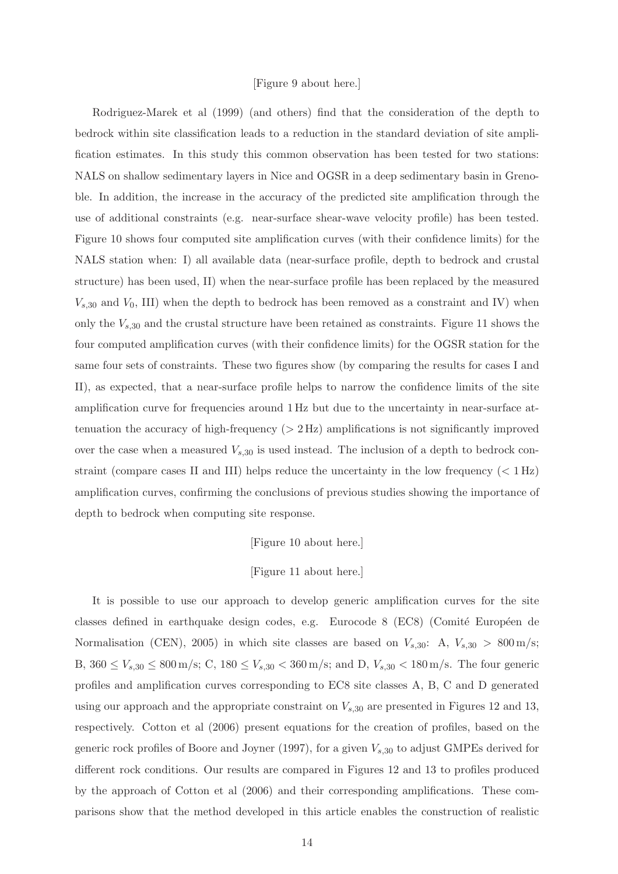#### [Figure 9 about here.]

Rodriguez-Marek et al (1999) (and others) find that the consideration of the depth to bedrock within site classification leads to a reduction in the standard deviation of site amplification estimates. In this study this common observation has been tested for two stations: NALS on shallow sedimentary layers in Nice and OGSR in a deep sedimentary basin in Grenoble. In addition, the increase in the accuracy of the predicted site amplification through the use of additional constraints (e.g. near-surface shear-wave velocity profile) has been tested. Figure 10 shows four computed site amplification curves (with their confidence limits) for the NALS station when: I) all available data (near-surface profile, depth to bedrock and crustal structure) has been used, II) when the near-surface profile has been replaced by the measured  $V_{s,30}$  and  $V_0$ , III) when the depth to bedrock has been removed as a constraint and IV) when only the  $V_{s,30}$  and the crustal structure have been retained as constraints. Figure 11 shows the four computed amplification curves (with their confidence limits) for the OGSR station for the same four sets of constraints. These two figures show (by comparing the results for cases I and II), as expected, that a near-surface profile helps to narrow the confidence limits of the site amplification curve for frequencies around 1 Hz but due to the uncertainty in near-surface attenuation the accuracy of high-frequency  $(>2 \text{ Hz})$  amplifications is not significantly improved over the case when a measured  $V_{s,30}$  is used instead. The inclusion of a depth to bedrock constraint (compare cases II and III) helps reduce the uncertainty in the low frequency ( $\langle 1 \text{ Hz} \rangle$ amplification curves, confirming the conclusions of previous studies showing the importance of depth to bedrock when computing site response.

[Figure 10 about here.]

#### [Figure 11 about here.]

It is possible to use our approach to develop generic amplification curves for the site classes defined in earthquake design codes, e.g. Eurocode 8 (EC8) (Comité Européen de Normalisation (CEN), 2005) in which site classes are based on  $V_{s,30}$ : A,  $V_{s,30} > 800 \,\mathrm{m/s}$ ; B,  $360 \le V_{s,30} \le 800 \,\mathrm{m/s}$ ; C,  $180 \le V_{s,30} < 360 \,\mathrm{m/s}$ ; and D,  $V_{s,30} < 180 \,\mathrm{m/s}$ . The four generic profiles and amplification curves corresponding to EC8 site classes A, B, C and D generated using our approach and the appropriate constraint on  $V_{s,30}$  are presented in Figures 12 and 13, respectively. Cotton et al (2006) present equations for the creation of profiles, based on the generic rock profiles of Boore and Joyner (1997), for a given  $V_{s,30}$  to adjust GMPEs derived for different rock conditions. Our results are compared in Figures 12 and 13 to profiles produced by the approach of Cotton et al (2006) and their corresponding amplifications. These comparisons show that the method developed in this article enables the construction of realistic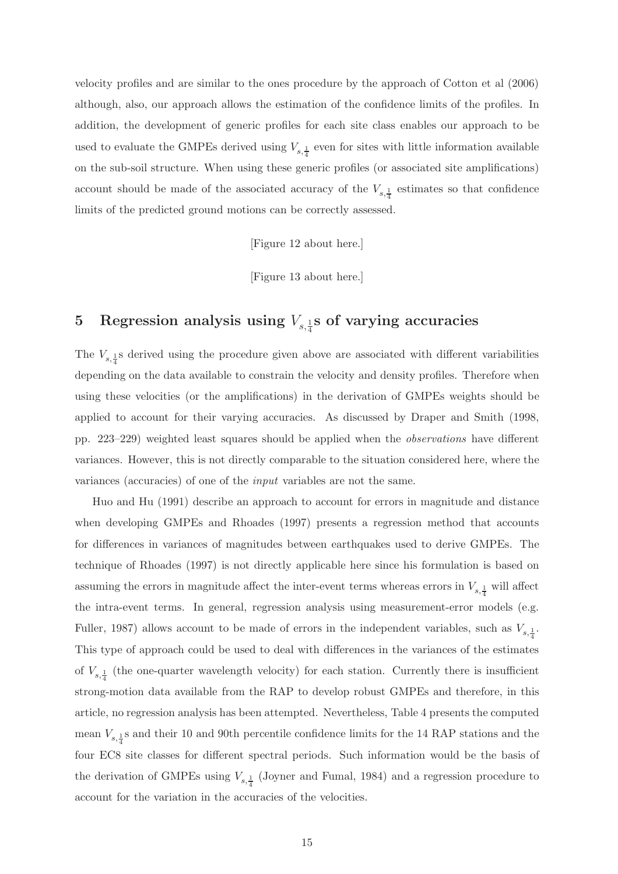velocity profiles and are similar to the ones procedure by the approach of Cotton et al (2006) although, also, our approach allows the estimation of the confidence limits of the profiles. In addition, the development of generic profiles for each site class enables our approach to be used to evaluate the GMPEs derived using  $V_{s, \frac{1}{4}}$  even for sites with little information available on the sub-soil structure. When using these generic profiles (or associated site amplifications) account should be made of the associated accuracy of the  $V_{s,\frac{1}{4}}$  estimates so that confidence limits of the predicted ground motions can be correctly assessed.

[Figure 12 about here.]

[Figure 13 about here.]

# 5 Regression analysis using  $V_{s,\frac{1}{4}}$ s of varying accuracies

The  $V_{s,\frac{1}{4}}$ s derived using the procedure given above are associated with different variabilities depending on the data available to constrain the velocity and density profiles. Therefore when using these velocities (or the amplifications) in the derivation of GMPEs weights should be applied to account for their varying accuracies. As discussed by Draper and Smith (1998, pp. 223–229) weighted least squares should be applied when the observations have different variances. However, this is not directly comparable to the situation considered here, where the variances (accuracies) of one of the input variables are not the same.

Huo and Hu (1991) describe an approach to account for errors in magnitude and distance when developing GMPEs and Rhoades (1997) presents a regression method that accounts for differences in variances of magnitudes between earthquakes used to derive GMPEs. The technique of Rhoades (1997) is not directly applicable here since his formulation is based on assuming the errors in magnitude affect the inter-event terms whereas errors in  $V_{s,\frac{1}{4}}$  will affect the intra-event terms. In general, regression analysis using measurement-error models (e.g. Fuller, 1987) allows account to be made of errors in the independent variables, such as  $V_{s,\frac{1}{4}}$ . This type of approach could be used to deal with differences in the variances of the estimates of  $V_{s,\frac{1}{4}}$  (the one-quarter wavelength velocity) for each station. Currently there is insufficient strong-motion data available from the RAP to develop robust GMPEs and therefore, in this article, no regression analysis has been attempted. Nevertheless, Table 4 presents the computed mean  $V_{s,\frac{1}{4}}$ s and their 10 and 90th percentile confidence limits for the 14 RAP stations and the four EC8 site classes for different spectral periods. Such information would be the basis of the derivation of GMPEs using  $V_{s,\frac{1}{4}}$  (Joyner and Fumal, 1984) and a regression procedure to account for the variation in the accuracies of the velocities.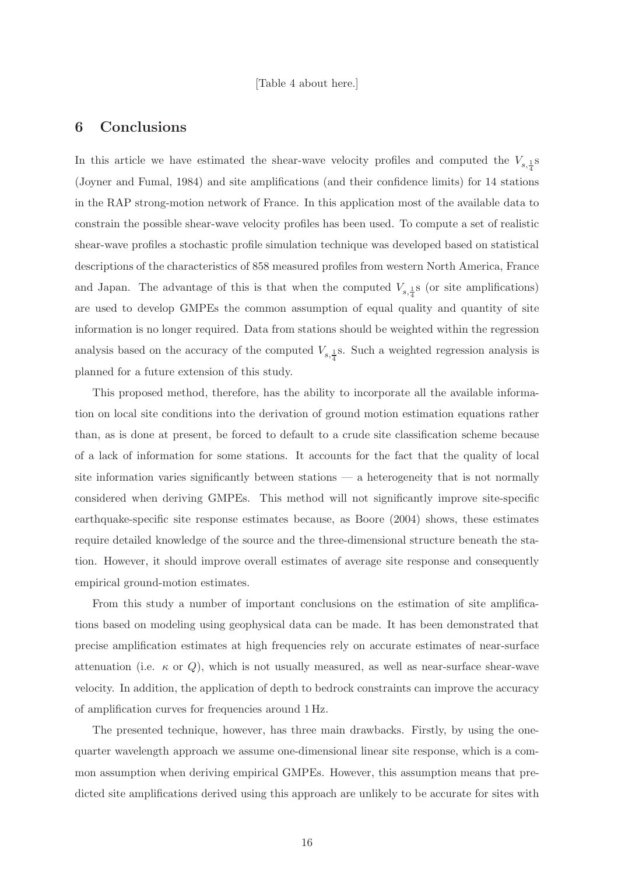[Table 4 about here.]

### 6 Conclusions

In this article we have estimated the shear-wave velocity profiles and computed the  $V_{s,\frac{1}{4}}$ (Joyner and Fumal, 1984) and site amplifications (and their confidence limits) for 14 stations in the RAP strong-motion network of France. In this application most of the available data to constrain the possible shear-wave velocity profiles has been used. To compute a set of realistic shear-wave profiles a stochastic profile simulation technique was developed based on statistical descriptions of the characteristics of 858 measured profiles from western North America, France and Japan. The advantage of this is that when the computed  $V_{s,\frac{1}{4}}$  (or site amplifications) are used to develop GMPEs the common assumption of equal quality and quantity of site information is no longer required. Data from stations should be weighted within the regression analysis based on the accuracy of the computed  $V_{s,\frac{1}{4}}$ . Such a weighted regression analysis is planned for a future extension of this study.

This proposed method, therefore, has the ability to incorporate all the available information on local site conditions into the derivation of ground motion estimation equations rather than, as is done at present, be forced to default to a crude site classification scheme because of a lack of information for some stations. It accounts for the fact that the quality of local site information varies significantly between stations — a heterogeneity that is not normally considered when deriving GMPEs. This method will not significantly improve site-specific earthquake-specific site response estimates because, as Boore (2004) shows, these estimates require detailed knowledge of the source and the three-dimensional structure beneath the station. However, it should improve overall estimates of average site response and consequently empirical ground-motion estimates.

From this study a number of important conclusions on the estimation of site amplifications based on modeling using geophysical data can be made. It has been demonstrated that precise amplification estimates at high frequencies rely on accurate estimates of near-surface attenuation (i.e.  $\kappa$  or Q), which is not usually measured, as well as near-surface shear-wave velocity. In addition, the application of depth to bedrock constraints can improve the accuracy of amplification curves for frequencies around 1 Hz.

The presented technique, however, has three main drawbacks. Firstly, by using the onequarter wavelength approach we assume one-dimensional linear site response, which is a common assumption when deriving empirical GMPEs. However, this assumption means that predicted site amplifications derived using this approach are unlikely to be accurate for sites with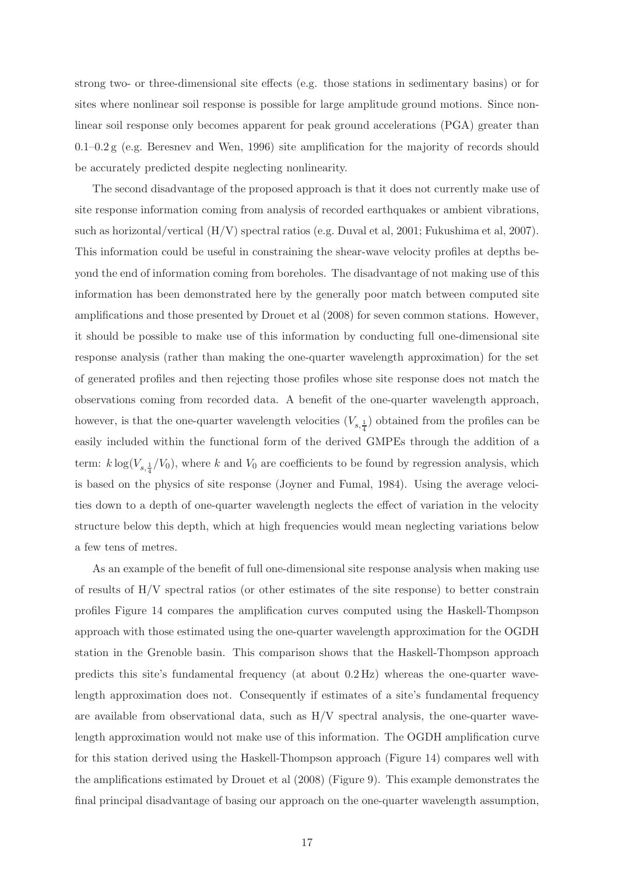strong two- or three-dimensional site effects (e.g. those stations in sedimentary basins) or for sites where nonlinear soil response is possible for large amplitude ground motions. Since nonlinear soil response only becomes apparent for peak ground accelerations (PGA) greater than 0.1–0.2 g (e.g. Beresnev and Wen, 1996) site amplification for the majority of records should be accurately predicted despite neglecting nonlinearity.

The second disadvantage of the proposed approach is that it does not currently make use of site response information coming from analysis of recorded earthquakes or ambient vibrations, such as horizontal/vertical (H/V) spectral ratios (e.g. Duval et al, 2001; Fukushima et al, 2007). This information could be useful in constraining the shear-wave velocity profiles at depths beyond the end of information coming from boreholes. The disadvantage of not making use of this information has been demonstrated here by the generally poor match between computed site amplifications and those presented by Drouet et al (2008) for seven common stations. However, it should be possible to make use of this information by conducting full one-dimensional site response analysis (rather than making the one-quarter wavelength approximation) for the set of generated profiles and then rejecting those profiles whose site response does not match the observations coming from recorded data. A benefit of the one-quarter wavelength approach, however, is that the one-quarter wavelength velocities  $(V_{s,\frac{1}{4}})$  obtained from the profiles can be easily included within the functional form of the derived GMPEs through the addition of a term:  $k \log(V_{s, \frac{1}{4}}/V_0)$ , where k and  $V_0$  are coefficients to be found by regression analysis, which is based on the physics of site response (Joyner and Fumal, 1984). Using the average velocities down to a depth of one-quarter wavelength neglects the effect of variation in the velocity structure below this depth, which at high frequencies would mean neglecting variations below a few tens of metres.

As an example of the benefit of full one-dimensional site response analysis when making use of results of H/V spectral ratios (or other estimates of the site response) to better constrain profiles Figure 14 compares the amplification curves computed using the Haskell-Thompson approach with those estimated using the one-quarter wavelength approximation for the OGDH station in the Grenoble basin. This comparison shows that the Haskell-Thompson approach predicts this site's fundamental frequency (at about 0.2 Hz) whereas the one-quarter wavelength approximation does not. Consequently if estimates of a site's fundamental frequency are available from observational data, such as  $H/V$  spectral analysis, the one-quarter wavelength approximation would not make use of this information. The OGDH amplification curve for this station derived using the Haskell-Thompson approach (Figure 14) compares well with the amplifications estimated by Drouet et al (2008) (Figure 9). This example demonstrates the final principal disadvantage of basing our approach on the one-quarter wavelength assumption,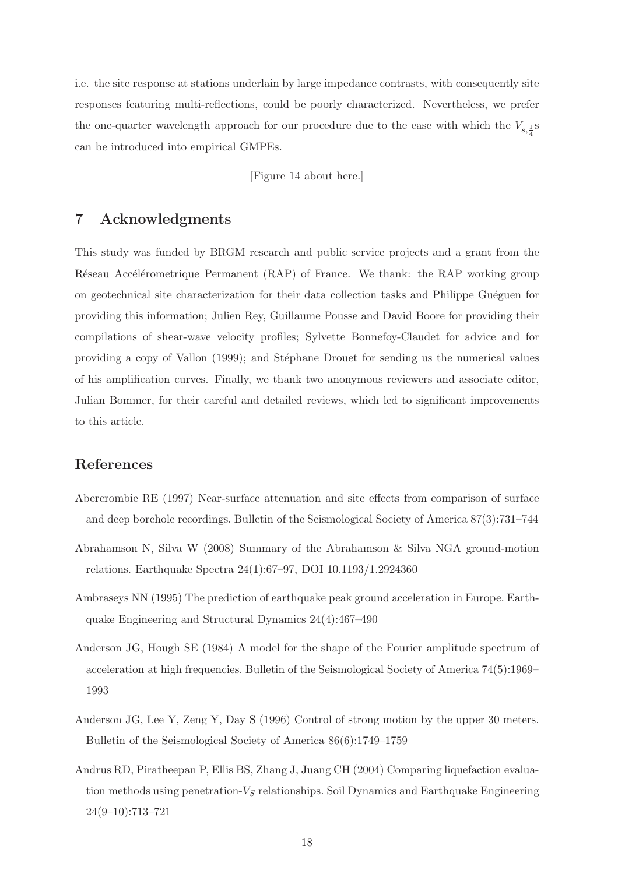i.e. the site response at stations underlain by large impedance contrasts, with consequently site responses featuring multi-reflections, could be poorly characterized. Nevertheless, we prefer the one-quarter wavelength approach for our procedure due to the ease with which the  $V_{s,\frac{1}{4}}$ can be introduced into empirical GMPEs.

[Figure 14 about here.]

# 7 Acknowledgments

This study was funded by BRGM research and public service projects and a grant from the Réseau Accélérometrique Permanent (RAP) of France. We thank: the RAP working group on geotechnical site characterization for their data collection tasks and Philippe Guéguen for providing this information; Julien Rey, Guillaume Pousse and David Boore for providing their compilations of shear-wave velocity profiles; Sylvette Bonnefoy-Claudet for advice and for providing a copy of Vallon (1999); and Stéphane Drouet for sending us the numerical values of his amplification curves. Finally, we thank two anonymous reviewers and associate editor, Julian Bommer, for their careful and detailed reviews, which led to significant improvements to this article.

# References

- Abercrombie RE (1997) Near-surface attenuation and site effects from comparison of surface and deep borehole recordings. Bulletin of the Seismological Society of America 87(3):731–744
- Abrahamson N, Silva W (2008) Summary of the Abrahamson & Silva NGA ground-motion relations. Earthquake Spectra 24(1):67–97, DOI 10.1193/1.2924360
- Ambraseys NN (1995) The prediction of earthquake peak ground acceleration in Europe. Earthquake Engineering and Structural Dynamics 24(4):467–490
- Anderson JG, Hough SE (1984) A model for the shape of the Fourier amplitude spectrum of acceleration at high frequencies. Bulletin of the Seismological Society of America 74(5):1969– 1993
- Anderson JG, Lee Y, Zeng Y, Day S (1996) Control of strong motion by the upper 30 meters. Bulletin of the Seismological Society of America 86(6):1749–1759
- Andrus RD, Piratheepan P, Ellis BS, Zhang J, Juang CH (2004) Comparing liquefaction evaluation methods using penetration- $V_S$  relationships. Soil Dynamics and Earthquake Engineering 24(9–10):713–721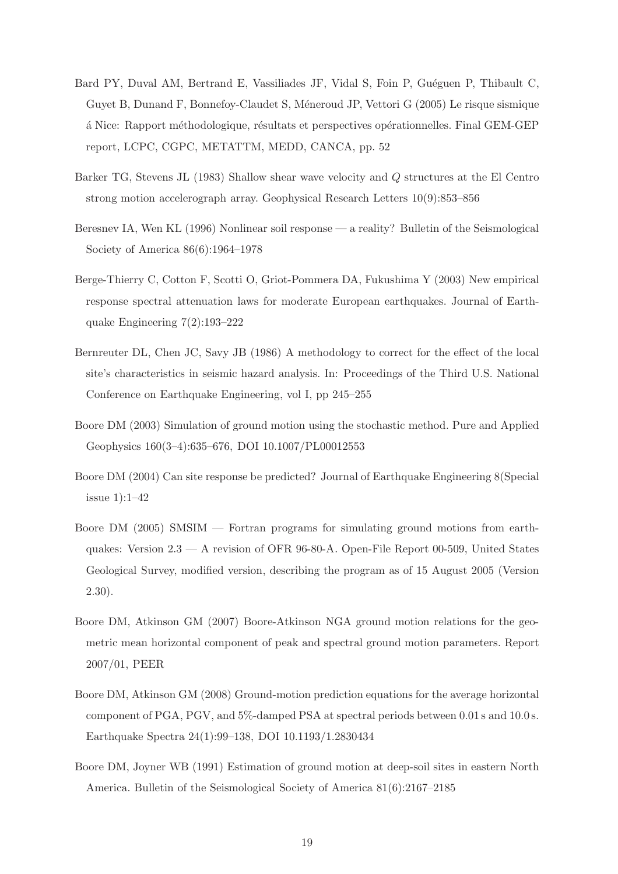- Bard PY, Duval AM, Bertrand E, Vassiliades JF, Vidal S, Foin P, Guéguen P, Thibault C, Guyet B, Dunand F, Bonnefoy-Claudet S, Méneroud JP, Vettori G (2005) Le risque sismique ´a Nice: Rapport m´ethodologique, r´esultats et perspectives op´erationnelles. Final GEM-GEP report, LCPC, CGPC, METATTM, MEDD, CANCA, pp. 52
- Barker TG, Stevens JL (1983) Shallow shear wave velocity and Q structures at the El Centro strong motion accelerograph array. Geophysical Research Letters 10(9):853–856
- Beresnev IA, Wen KL (1996) Nonlinear soil response a reality? Bulletin of the Seismological Society of America 86(6):1964–1978
- Berge-Thierry C, Cotton F, Scotti O, Griot-Pommera DA, Fukushima Y (2003) New empirical response spectral attenuation laws for moderate European earthquakes. Journal of Earthquake Engineering 7(2):193–222
- Bernreuter DL, Chen JC, Savy JB (1986) A methodology to correct for the effect of the local site's characteristics in seismic hazard analysis. In: Proceedings of the Third U.S. National Conference on Earthquake Engineering, vol I, pp 245–255
- Boore DM (2003) Simulation of ground motion using the stochastic method. Pure and Applied Geophysics 160(3–4):635–676, DOI 10.1007/PL00012553
- Boore DM (2004) Can site response be predicted? Journal of Earthquake Engineering 8(Special issue 1):1–42
- Boore DM (2005) SMSIM Fortran programs for simulating ground motions from earthquakes: Version 2.3 — A revision of OFR 96-80-A. Open-File Report 00-509, United States Geological Survey, modified version, describing the program as of 15 August 2005 (Version 2.30).
- Boore DM, Atkinson GM (2007) Boore-Atkinson NGA ground motion relations for the geometric mean horizontal component of peak and spectral ground motion parameters. Report 2007/01, PEER
- Boore DM, Atkinson GM (2008) Ground-motion prediction equations for the average horizontal component of PGA, PGV, and 5%-damped PSA at spectral periods between 0.01 s and 10.0 s. Earthquake Spectra 24(1):99–138, DOI 10.1193/1.2830434
- Boore DM, Joyner WB (1991) Estimation of ground motion at deep-soil sites in eastern North America. Bulletin of the Seismological Society of America 81(6):2167–2185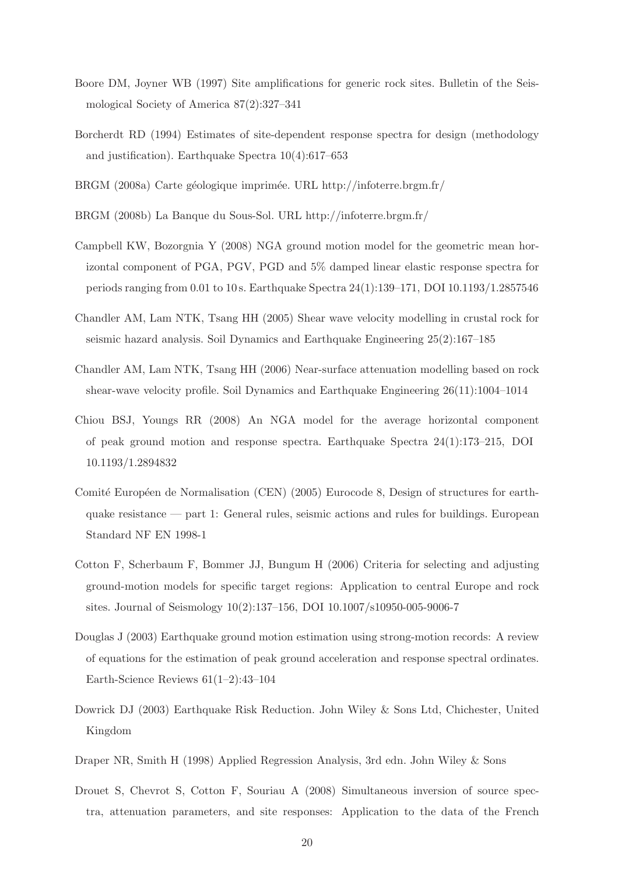- Boore DM, Joyner WB (1997) Site amplifications for generic rock sites. Bulletin of the Seismological Society of America 87(2):327–341
- Borcherdt RD (1994) Estimates of site-dependent response spectra for design (methodology and justification). Earthquake Spectra 10(4):617–653
- BRGM (2008a) Carte géologique imprimée. URL http://infoterre.brgm.fr/
- BRGM (2008b) La Banque du Sous-Sol. URL http://infoterre.brgm.fr/
- Campbell KW, Bozorgnia Y (2008) NGA ground motion model for the geometric mean horizontal component of PGA, PGV, PGD and 5% damped linear elastic response spectra for periods ranging from 0.01 to 10 s. Earthquake Spectra 24(1):139–171, DOI 10.1193/1.2857546
- Chandler AM, Lam NTK, Tsang HH (2005) Shear wave velocity modelling in crustal rock for seismic hazard analysis. Soil Dynamics and Earthquake Engineering 25(2):167–185
- Chandler AM, Lam NTK, Tsang HH (2006) Near-surface attenuation modelling based on rock shear-wave velocity profile. Soil Dynamics and Earthquake Engineering 26(11):1004–1014
- Chiou BSJ, Youngs RR (2008) An NGA model for the average horizontal component of peak ground motion and response spectra. Earthquake Spectra 24(1):173–215, DOI 10.1193/1.2894832
- Comité Européen de Normalisation (CEN) (2005) Eurocode 8, Design of structures for earthquake resistance — part 1: General rules, seismic actions and rules for buildings. European Standard NF EN 1998-1
- Cotton F, Scherbaum F, Bommer JJ, Bungum H (2006) Criteria for selecting and adjusting ground-motion models for specific target regions: Application to central Europe and rock sites. Journal of Seismology 10(2):137–156, DOI 10.1007/s10950-005-9006-7
- Douglas J (2003) Earthquake ground motion estimation using strong-motion records: A review of equations for the estimation of peak ground acceleration and response spectral ordinates. Earth-Science Reviews 61(1–2):43–104
- Dowrick DJ (2003) Earthquake Risk Reduction. John Wiley & Sons Ltd, Chichester, United Kingdom
- Draper NR, Smith H (1998) Applied Regression Analysis, 3rd edn. John Wiley & Sons
- Drouet S, Chevrot S, Cotton F, Souriau A (2008) Simultaneous inversion of source spectra, attenuation parameters, and site responses: Application to the data of the French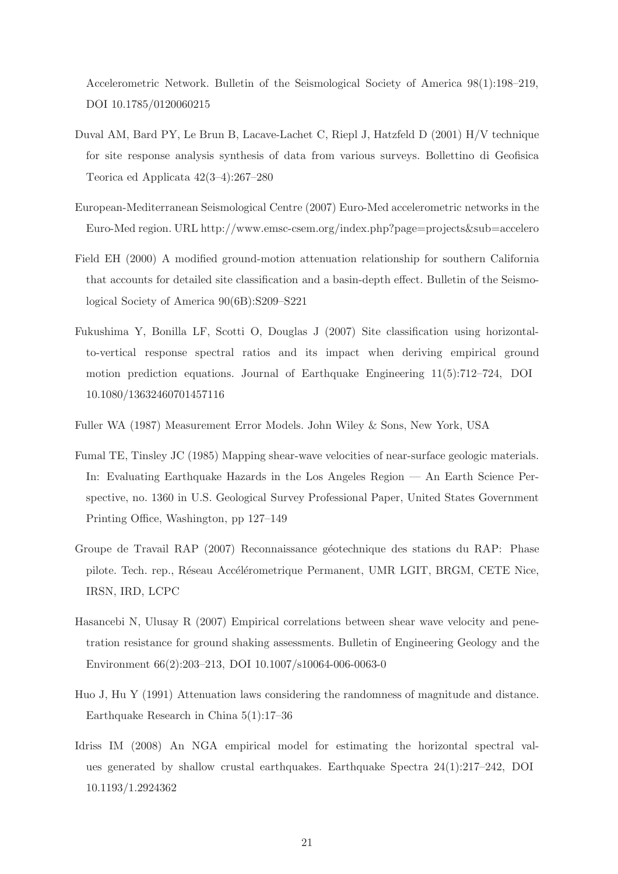Accelerometric Network. Bulletin of the Seismological Society of America 98(1):198–219, DOI 10.1785/0120060215

- Duval AM, Bard PY, Le Brun B, Lacave-Lachet C, Riepl J, Hatzfeld D (2001) H/V technique for site response analysis synthesis of data from various surveys. Bollettino di Geofisica Teorica ed Applicata 42(3–4):267–280
- European-Mediterranean Seismological Centre (2007) Euro-Med accelerometric networks in the Euro-Med region. URL http://www.emsc-csem.org/index.php?page=projects&sub=accelero
- Field EH (2000) A modified ground-motion attenuation relationship for southern California that accounts for detailed site classification and a basin-depth effect. Bulletin of the Seismological Society of America 90(6B):S209–S221
- Fukushima Y, Bonilla LF, Scotti O, Douglas J (2007) Site classification using horizontalto-vertical response spectral ratios and its impact when deriving empirical ground motion prediction equations. Journal of Earthquake Engineering 11(5):712–724, DOI 10.1080/13632460701457116
- Fuller WA (1987) Measurement Error Models. John Wiley & Sons, New York, USA
- Fumal TE, Tinsley JC (1985) Mapping shear-wave velocities of near-surface geologic materials. In: Evaluating Earthquake Hazards in the Los Angeles Region — An Earth Science Perspective, no. 1360 in U.S. Geological Survey Professional Paper, United States Government Printing Office, Washington, pp 127–149
- Groupe de Travail RAP (2007) Reconnaissance géotechnique des stations du RAP: Phase pilote. Tech. rep., Réseau Accélérometrique Permanent, UMR LGIT, BRGM, CETE Nice, IRSN, IRD, LCPC
- Hasancebi N, Ulusay R (2007) Empirical correlations between shear wave velocity and penetration resistance for ground shaking assessments. Bulletin of Engineering Geology and the Environment 66(2):203–213, DOI 10.1007/s10064-006-0063-0
- Huo J, Hu Y (1991) Attenuation laws considering the randomness of magnitude and distance. Earthquake Research in China 5(1):17–36
- Idriss IM (2008) An NGA empirical model for estimating the horizontal spectral values generated by shallow crustal earthquakes. Earthquake Spectra  $24(1):217-242$ , DOI 10.1193/1.2924362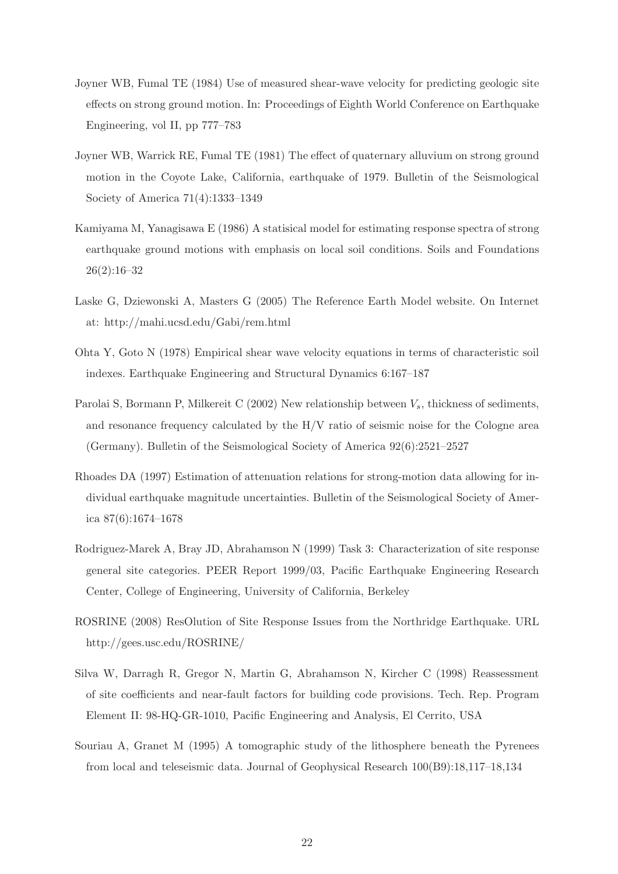- Joyner WB, Fumal TE (1984) Use of measured shear-wave velocity for predicting geologic site effects on strong ground motion. In: Proceedings of Eighth World Conference on Earthquake Engineering, vol II, pp 777–783
- Joyner WB, Warrick RE, Fumal TE (1981) The effect of quaternary alluvium on strong ground motion in the Coyote Lake, California, earthquake of 1979. Bulletin of the Seismological Society of America 71(4):1333–1349
- Kamiyama M, Yanagisawa E (1986) A statisical model for estimating response spectra of strong earthquake ground motions with emphasis on local soil conditions. Soils and Foundations 26(2):16–32
- Laske G, Dziewonski A, Masters G (2005) The Reference Earth Model website. On Internet at: http://mahi.ucsd.edu/Gabi/rem.html
- Ohta Y, Goto N (1978) Empirical shear wave velocity equations in terms of characteristic soil indexes. Earthquake Engineering and Structural Dynamics 6:167–187
- Parolai S, Bormann P, Milkereit C (2002) New relationship between  $V_s$ , thickness of sediments, and resonance frequency calculated by the H/V ratio of seismic noise for the Cologne area (Germany). Bulletin of the Seismological Society of America 92(6):2521–2527
- Rhoades DA (1997) Estimation of attenuation relations for strong-motion data allowing for individual earthquake magnitude uncertainties. Bulletin of the Seismological Society of America 87(6):1674–1678
- Rodriguez-Marek A, Bray JD, Abrahamson N (1999) Task 3: Characterization of site response general site categories. PEER Report 1999/03, Pacific Earthquake Engineering Research Center, College of Engineering, University of California, Berkeley
- ROSRINE (2008) ResOlution of Site Response Issues from the Northridge Earthquake. URL http://gees.usc.edu/ROSRINE/
- Silva W, Darragh R, Gregor N, Martin G, Abrahamson N, Kircher C (1998) Reassessment of site coefficients and near-fault factors for building code provisions. Tech. Rep. Program Element II: 98-HQ-GR-1010, Pacific Engineering and Analysis, El Cerrito, USA
- Souriau A, Granet M (1995) A tomographic study of the lithosphere beneath the Pyrenees from local and teleseismic data. Journal of Geophysical Research 100(B9):18,117–18,134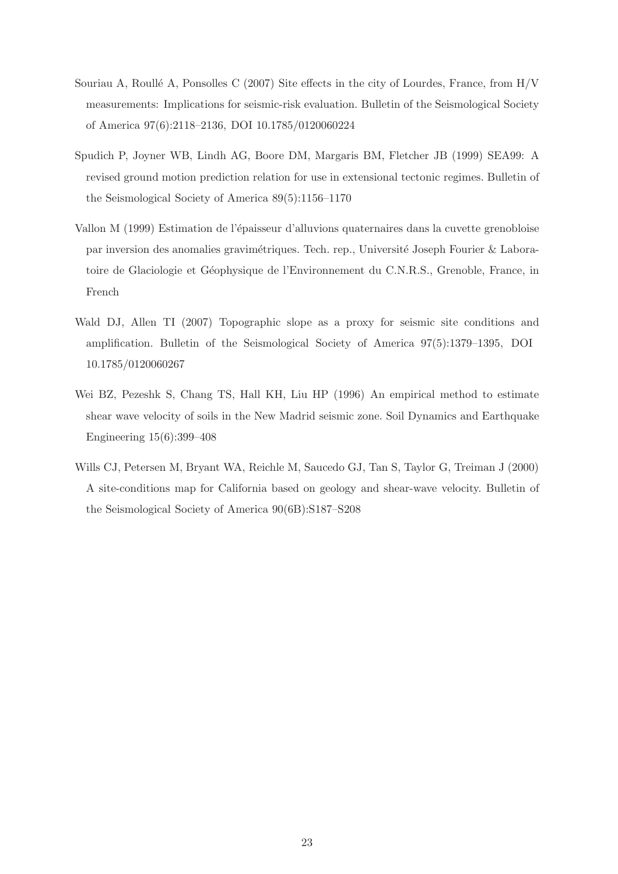- Souriau A, Roullé A, Ponsolles C (2007) Site effects in the city of Lourdes, France, from  $H/V$ measurements: Implications for seismic-risk evaluation. Bulletin of the Seismological Society of America 97(6):2118–2136, DOI 10.1785/0120060224
- Spudich P, Joyner WB, Lindh AG, Boore DM, Margaris BM, Fletcher JB (1999) SEA99: A revised ground motion prediction relation for use in extensional tectonic regimes. Bulletin of the Seismological Society of America 89(5):1156–1170
- Vallon M (1999) Estimation de l'épaisseur d'alluvions quaternaires dans la cuvette grenobloise par inversion des anomalies gravimétriques. Tech. rep., Université Joseph Fourier & Laboratoire de Glaciologie et Géophysique de l'Environnement du C.N.R.S., Grenoble, France, in French
- Wald DJ, Allen TI (2007) Topographic slope as a proxy for seismic site conditions and amplification. Bulletin of the Seismological Society of America 97(5):1379–1395, DOI 10.1785/0120060267
- Wei BZ, Pezeshk S, Chang TS, Hall KH, Liu HP (1996) An empirical method to estimate shear wave velocity of soils in the New Madrid seismic zone. Soil Dynamics and Earthquake Engineering 15(6):399–408
- Wills CJ, Petersen M, Bryant WA, Reichle M, Saucedo GJ, Tan S, Taylor G, Treiman J (2000) A site-conditions map for California based on geology and shear-wave velocity. Bulletin of the Seismological Society of America 90(6B):S187–S208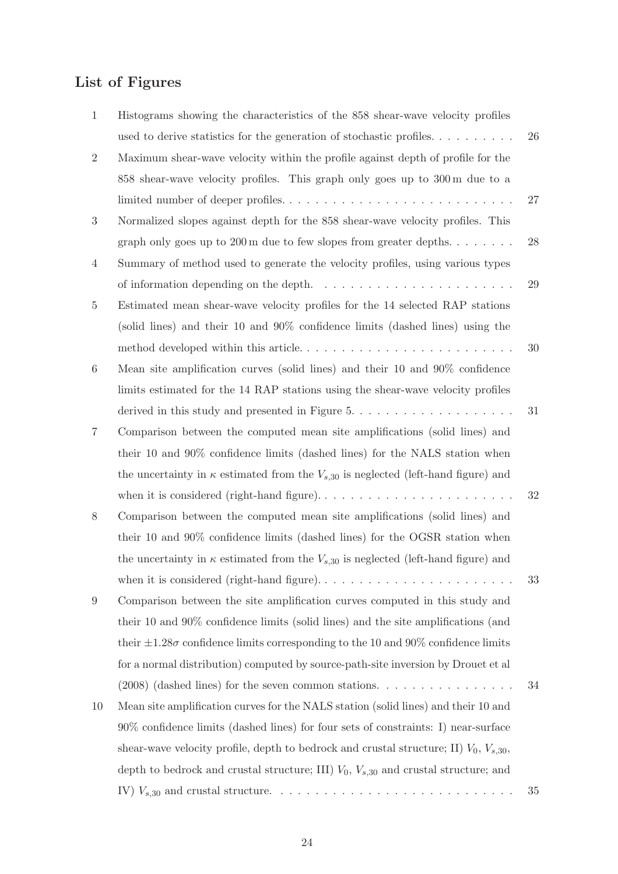# List of Figures

| $\mathbf{1}$     | Histograms showing the characteristics of the 858 shear-wave velocity profiles                     |        |
|------------------|----------------------------------------------------------------------------------------------------|--------|
|                  | used to derive statistics for the generation of stochastic profiles                                | 26     |
| $\overline{2}$   | Maximum shear-wave velocity within the profile against depth of profile for the                    |        |
|                  | $858$ shear-wave velocity profiles. This graph only goes up to $300 \text{ m}$ due to a            |        |
|                  |                                                                                                    | 27     |
| $\boldsymbol{3}$ | Normalized slopes against depth for the 858 shear-wave velocity profiles. This                     |        |
|                  | graph only goes up to $200 \text{ m}$ due to few slopes from greater depths                        | 28     |
| $\overline{4}$   | Summary of method used to generate the velocity profiles, using various types                      |        |
|                  | of information depending on the depth. $\dots \dots \dots \dots \dots \dots \dots \dots$           | 29     |
| $\overline{5}$   | Estimated mean shear-wave velocity profiles for the 14 selected RAP stations                       |        |
|                  | (solid lines) and their 10 and 90% confidence limits (dashed lines) using the                      |        |
|                  | method developed within this article                                                               | 30     |
| 6                | Mean site amplification curves (solid lines) and their 10 and 90% confidence                       |        |
|                  | limits estimated for the 14 RAP stations using the shear-wave velocity profiles                    |        |
|                  |                                                                                                    | 31     |
| 7                | Comparison between the computed mean site amplifications (solid lines) and                         |        |
|                  | their 10 and 90% confidence limits (dashed lines) for the NALS station when                        |        |
|                  | the uncertainty in $\kappa$ estimated from the $V_{s,30}$ is neglected (left-hand figure) and      |        |
|                  |                                                                                                    | $32\,$ |
| 8                | Comparison between the computed mean site amplifications (solid lines) and                         |        |
|                  | their 10 and 90% confidence limits (dashed lines) for the OGSR station when                        |        |
|                  | the uncertainty in $\kappa$ estimated from the $V_{s,30}$ is neglected (left-hand figure) and      |        |
|                  | when it is considered (right-hand figure). $\dots \dots \dots \dots \dots \dots \dots \dots \dots$ | $33\,$ |
| 9                | Comparison between the site amplification curves computed in this study and                        |        |
|                  | their 10 and 90% confidence limits (solid lines) and the site amplifications (and                  |        |
|                  | their $\pm 1.28\sigma$ confidence limits corresponding to the 10 and 90% confidence limits         |        |
|                  | for a normal distribution) computed by source-path-site inversion by Drouet et al                  |        |
|                  | $(2008)$ (dashed lines) for the seven common stations.                                             | 34     |
| 10               | Mean site amplification curves for the NALS station (solid lines) and their 10 and                 |        |
|                  | 90% confidence limits (dashed lines) for four sets of constraints: I) near-surface                 |        |
|                  | shear-wave velocity profile, depth to bedrock and crustal structure; II) $V_0$ , $V_{s,30}$ ,      |        |
|                  | depth to bedrock and crustal structure; III) $V_0$ , $V_{s,30}$ and crustal structure; and         |        |
|                  |                                                                                                    | 35     |
|                  |                                                                                                    |        |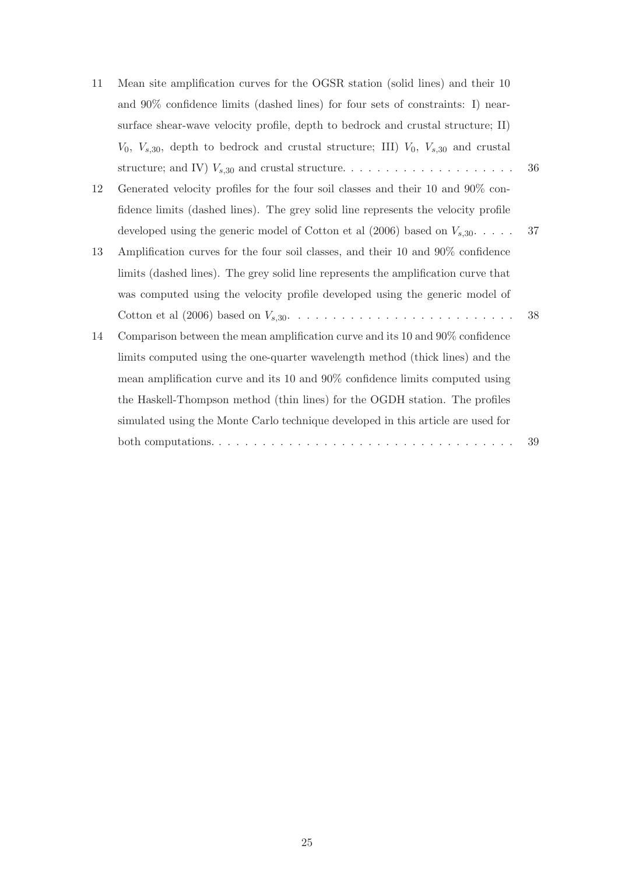| 11 | Mean site amplification curves for the OGSR station (solid lines) and their 10                   |        |
|----|--------------------------------------------------------------------------------------------------|--------|
|    | and 90% confidence limits (dashed lines) for four sets of constraints: I) near-                  |        |
|    | surface shear-wave velocity profile, depth to bedrock and crustal structure; II)                 |        |
|    | $V_0$ , $V_{s,30}$ , depth to bedrock and crustal structure; III) $V_0$ , $V_{s,30}$ and crustal |        |
|    |                                                                                                  | 36     |
| 12 | Generated velocity profiles for the four soil classes and their 10 and 90% con-                  |        |
|    | fidence limits (dashed lines). The grey solid line represents the velocity profile               |        |
|    | developed using the generic model of Cotton et al (2006) based on $V_{s,30}$                     | 37     |
| 13 | Amplification curves for the four soil classes, and their 10 and 90% confidence                  |        |
|    | limits (dashed lines). The grey solid line represents the amplification curve that               |        |
|    | was computed using the velocity profile developed using the generic model of                     |        |
|    |                                                                                                  | 38     |
| 14 | Comparison between the mean amplification curve and its 10 and 90% confidence                    |        |
|    | limits computed using the one-quarter wavelength method (thick lines) and the                    |        |
|    | mean amplification curve and its 10 and 90% confidence limits computed using                     |        |
|    | the Haskell-Thompson method (thin lines) for the OGDH station. The profiles                      |        |
|    | simulated using the Monte Carlo technique developed in this article are used for                 |        |
|    |                                                                                                  | $39\,$ |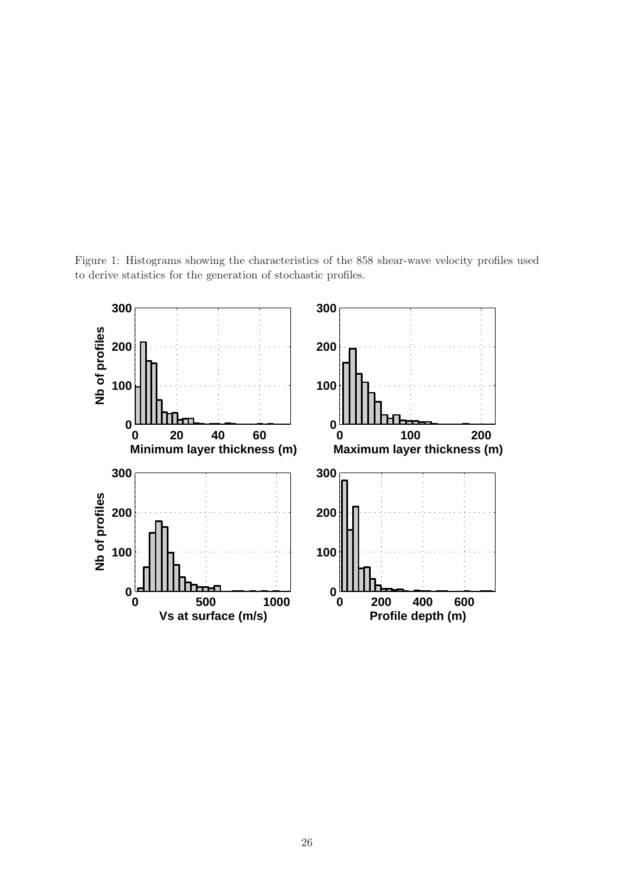Figure 1: Histograms showing the characteristics of the 858 shear-wave velocity profiles used to derive statistics for the generation of stochastic profiles.

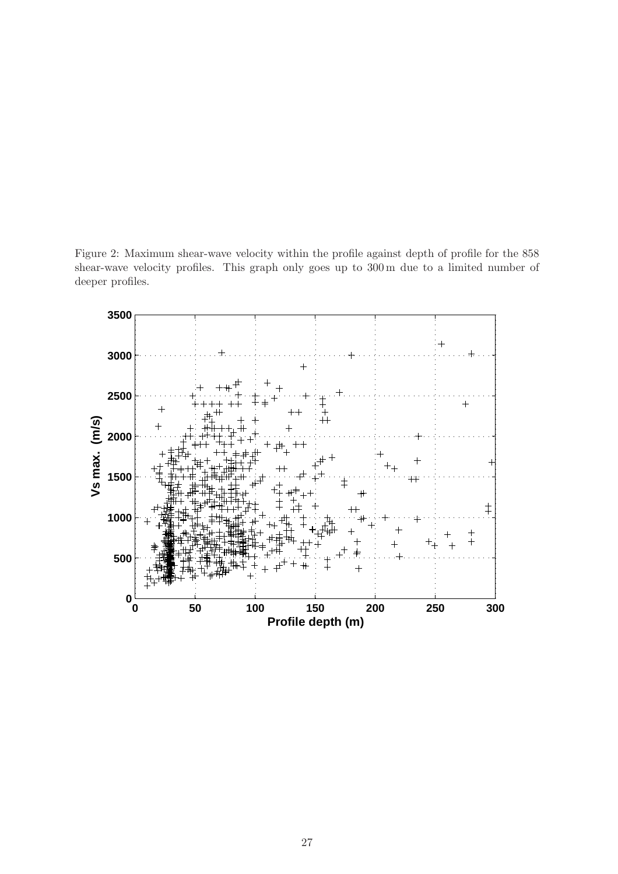Figure 2: Maximum shear-wave velocity within the profile against depth of profile for the 858 shear-wave velocity profiles. This graph only goes up to 300 m due to a limited number of deeper profiles.

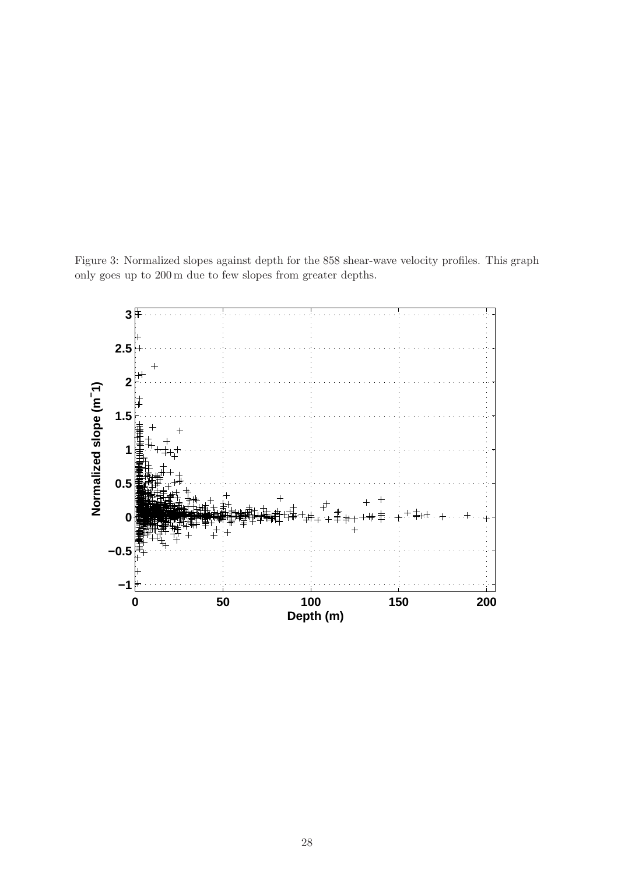Figure 3: Normalized slopes against depth for the 858 shear-wave velocity profiles. This graph only goes up to 200 m due to few slopes from greater depths.

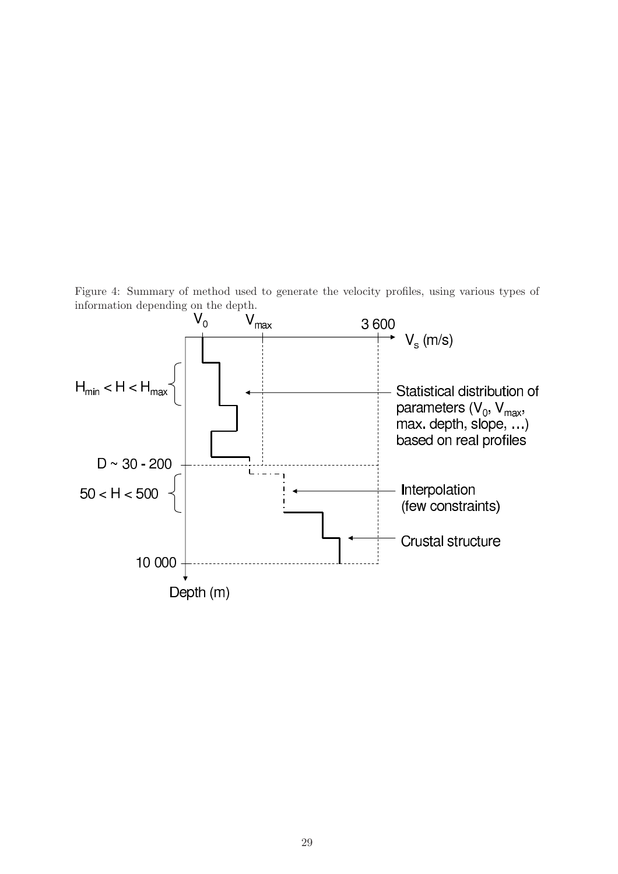Figure 4: Summary of method used to generate the velocity profiles, using various types of

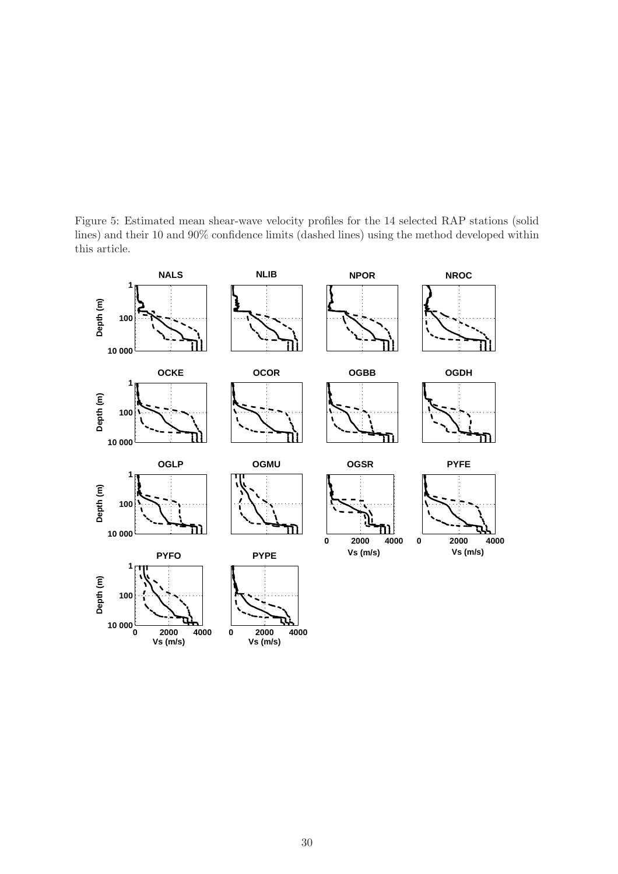Figure 5: Estimated mean shear-wave velocity profiles for the 14 selected RAP stations (solid lines) and their 10 and 90% confidence limits (dashed lines) using the method developed within this article.

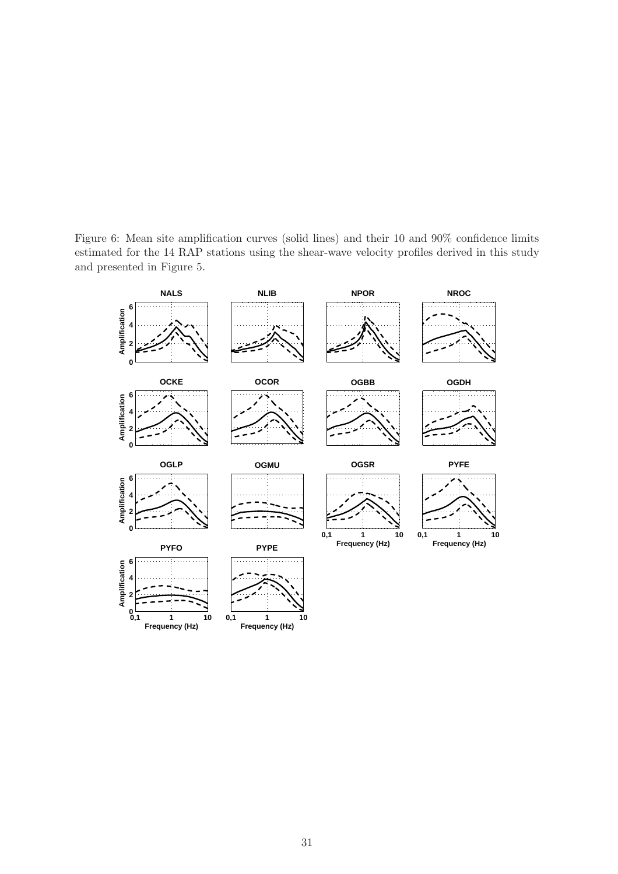Figure 6: Mean site amplification curves (solid lines) and their 10 and 90% confidence limits estimated for the 14 RAP stations using the shear-wave velocity profiles derived in this study and presented in Figure 5.

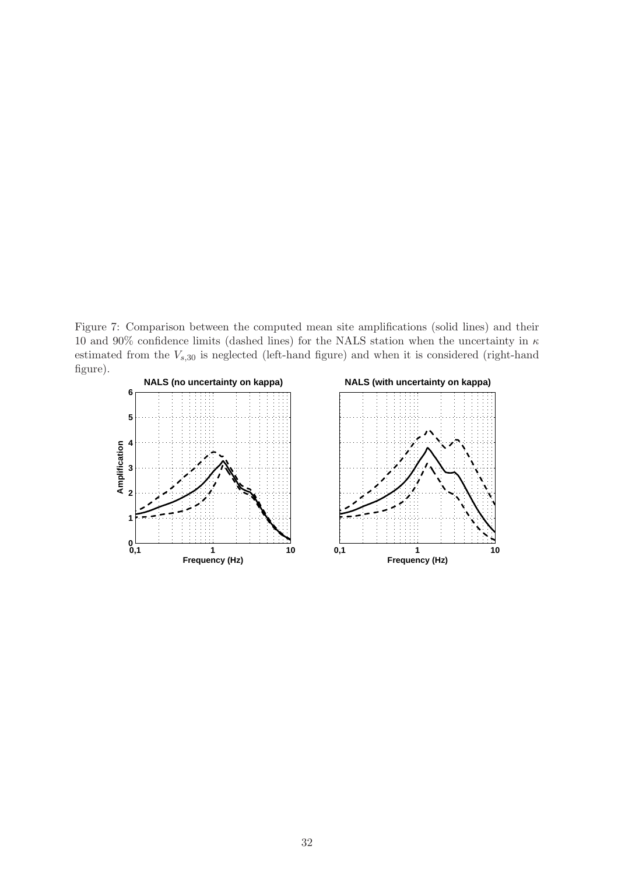Figure 7: Comparison between the computed mean site amplifications (solid lines) and their 10 and 90% confidence limits (dashed lines) for the NALS station when the uncertainty in  $\kappa$ estimated from the  $V_{s,30}$  is neglected (left-hand figure) and when it is considered (right-hand figure).

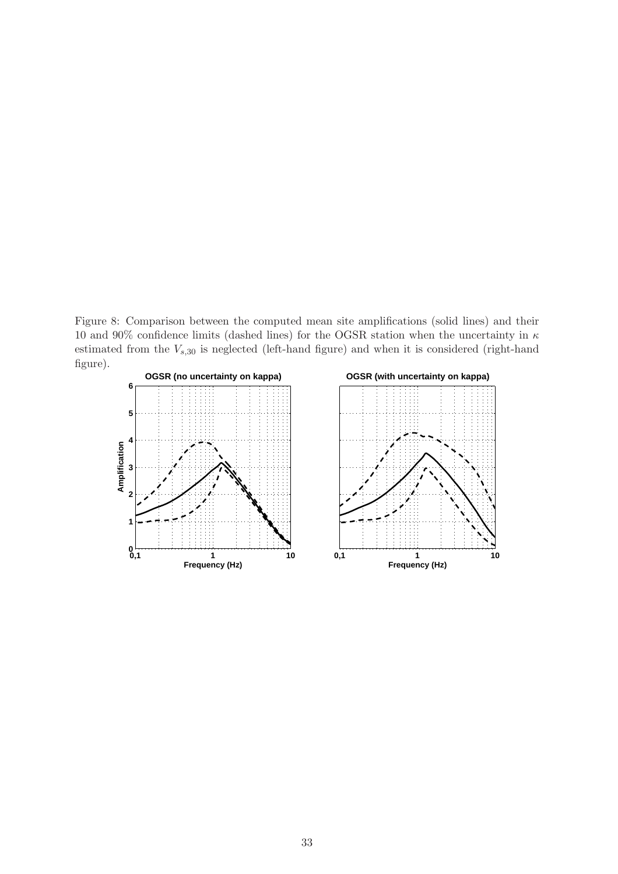Figure 8: Comparison between the computed mean site amplifications (solid lines) and their 10 and 90% confidence limits (dashed lines) for the OGSR station when the uncertainty in  $\kappa$ estimated from the  $V_{s,30}$  is neglected (left-hand figure) and when it is considered (right-hand figure).

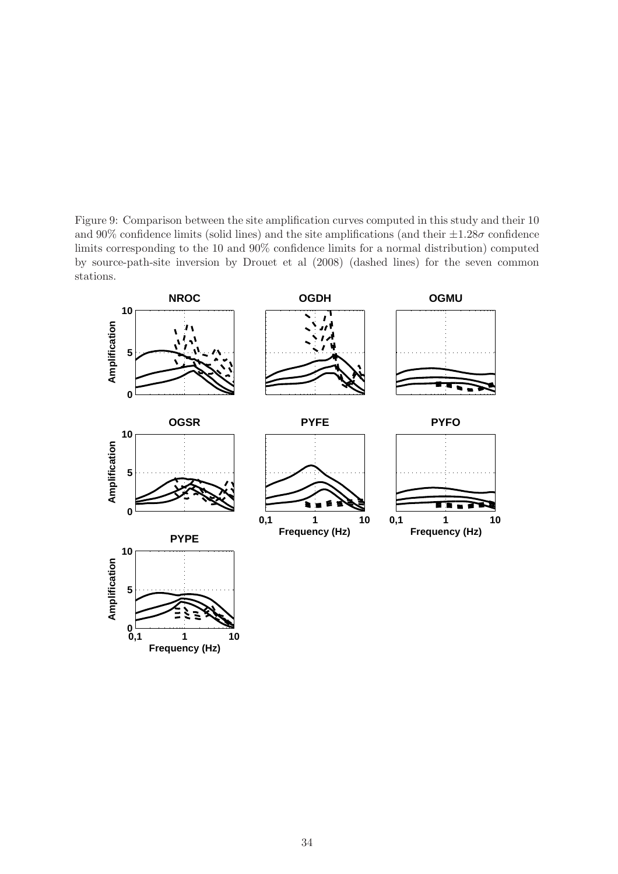Figure 9: Comparison between the site amplification curves computed in this study and their 10 and 90% confidence limits (solid lines) and the site amplifications (and their  $\pm 1.28\sigma$  confidence limits corresponding to the 10 and 90% confidence limits for a normal distribution) computed by source-path-site inversion by Drouet et al (2008) (dashed lines) for the seven common stations.

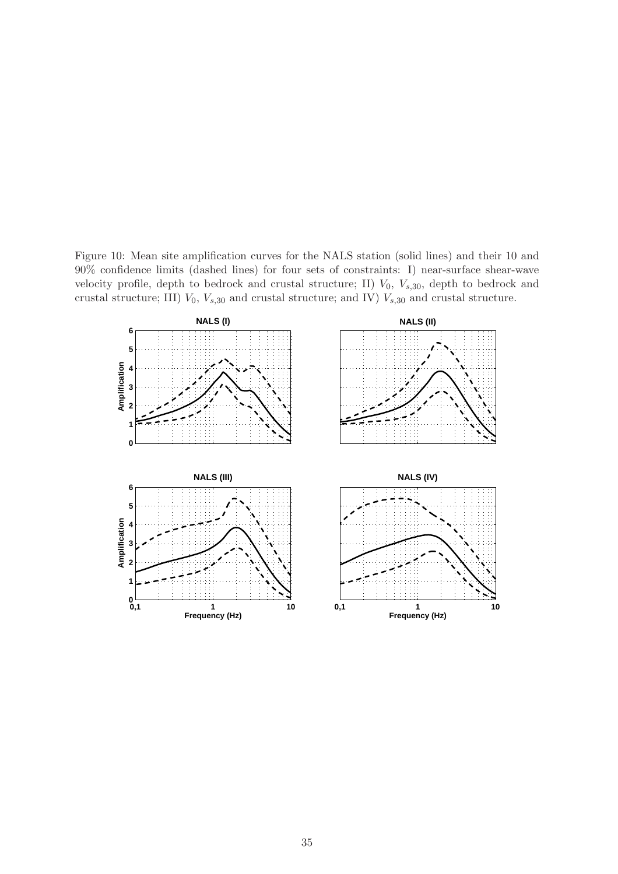Figure 10: Mean site amplification curves for the NALS station (solid lines) and their 10 and 90% confidence limits (dashed lines) for four sets of constraints: I) near-surface shear-wave velocity profile, depth to bedrock and crustal structure; II)  $V_0$ ,  $V_{s,30}$ , depth to bedrock and crustal structure; III)  $V_0$ ,  $V_{s,30}$  and crustal structure; and IV)  $V_{s,30}$  and crustal structure.

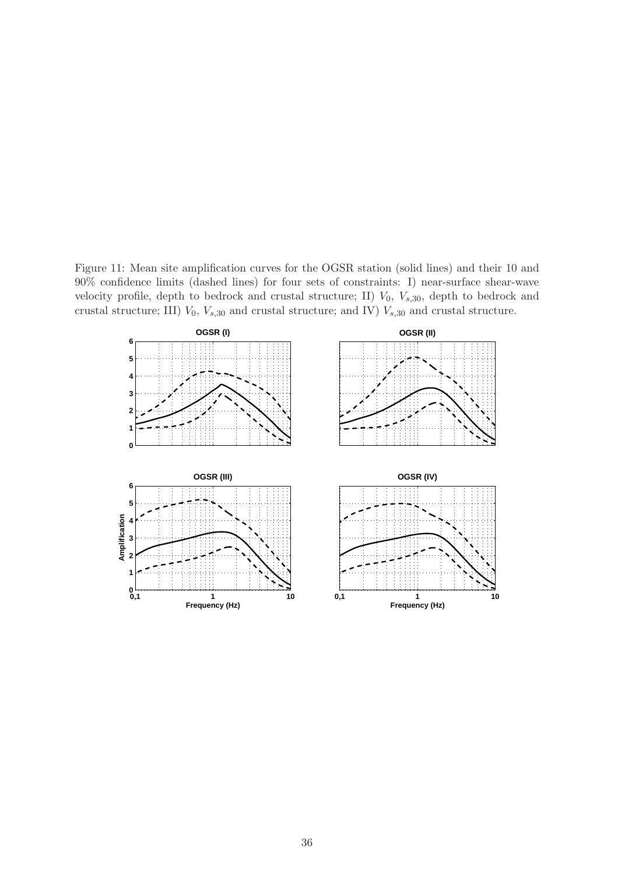Figure 11: Mean site amplification curves for the OGSR station (solid lines) and their 10 and 90% confidence limits (dashed lines) for four sets of constraints: I) near-surface shear-wave velocity profile, depth to bedrock and crustal structure; II)  $V_0$ ,  $V_{s,30}$ , depth to bedrock and crustal structure; III)  $V_0$ ,  $V_{s,30}$  and crustal structure; and IV)  $V_{s,30}$  and crustal structure.

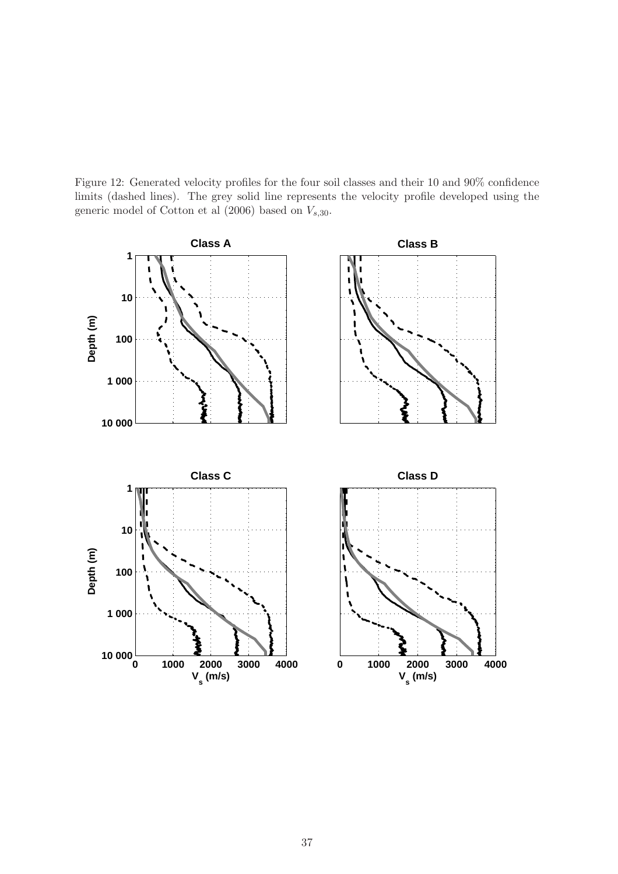Figure 12: Generated velocity profiles for the four soil classes and their 10 and 90% confidence limits (dashed lines). The grey solid line represents the velocity profile developed using the generic model of Cotton et al  $(2006)$  based on  $V_{s,30}$ .

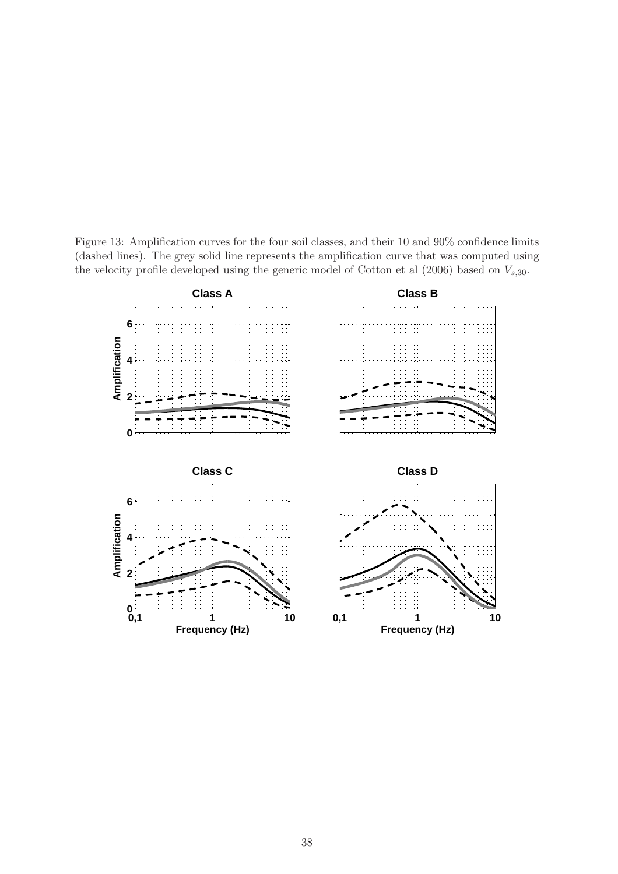Figure 13: Amplification curves for the four soil classes, and their 10 and 90% confidence limits (dashed lines). The grey solid line represents the amplification curve that was computed using the velocity profile developed using the generic model of Cotton et al  $(2006)$  based on  $V_{s,30}$ .

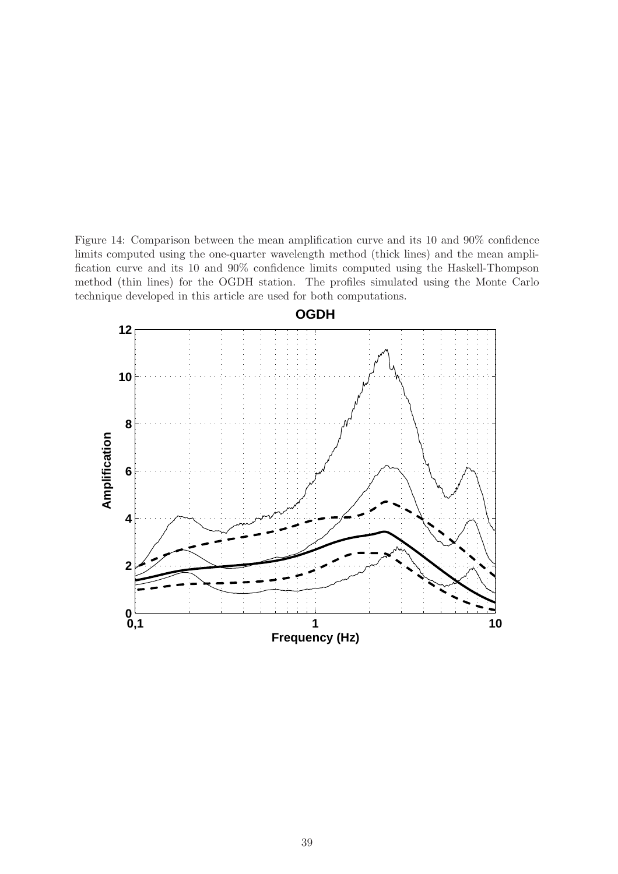Figure 14: Comparison between the mean amplification curve and its 10 and 90% confidence limits computed using the one-quarter wavelength method (thick lines) and the mean amplification curve and its 10 and 90% confidence limits computed using the Haskell-Thompson method (thin lines) for the OGDH station. The profiles simulated using the Monte Carlo technique developed in this article are used for both computations.

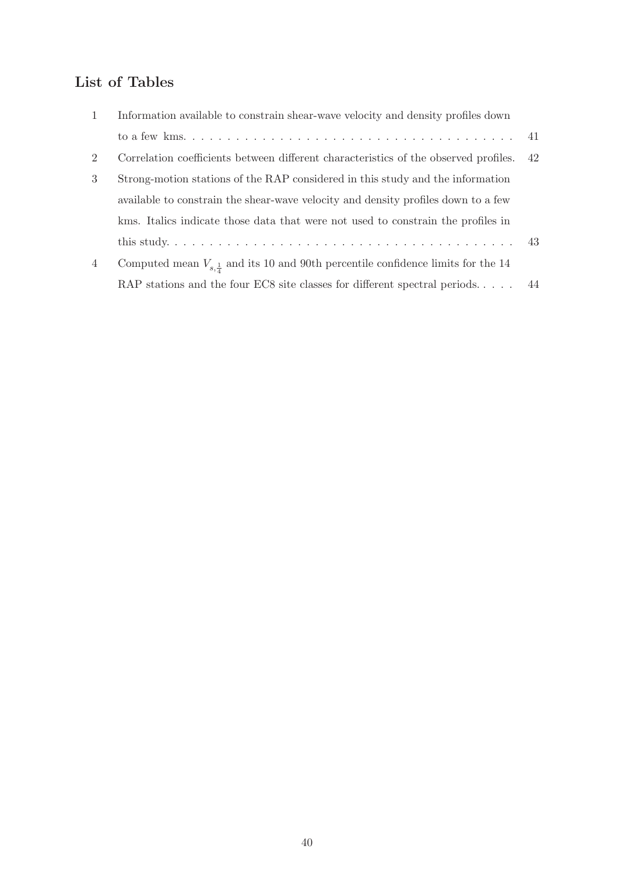# List of Tables

| $\overline{1}$ | Information available to constrain shear-wave velocity and density profiles down              |    |
|----------------|-----------------------------------------------------------------------------------------------|----|
|                |                                                                                               |    |
| 2              | Correlation coefficients between different characteristics of the observed profiles.          | 42 |
| 3              | Strong-motion stations of the RAP considered in this study and the information                |    |
|                | available to constrain the shear-wave velocity and density profiles down to a few             |    |
|                | kms. Italics indicate those data that were not used to constrain the profiles in              |    |
|                |                                                                                               |    |
| $\overline{4}$ | Computed mean $V_{s,\frac{1}{4}}$ and its 10 and 90th percentile confidence limits for the 14 |    |
|                | RAP stations and the four EC8 site classes for different spectral periods $44$                |    |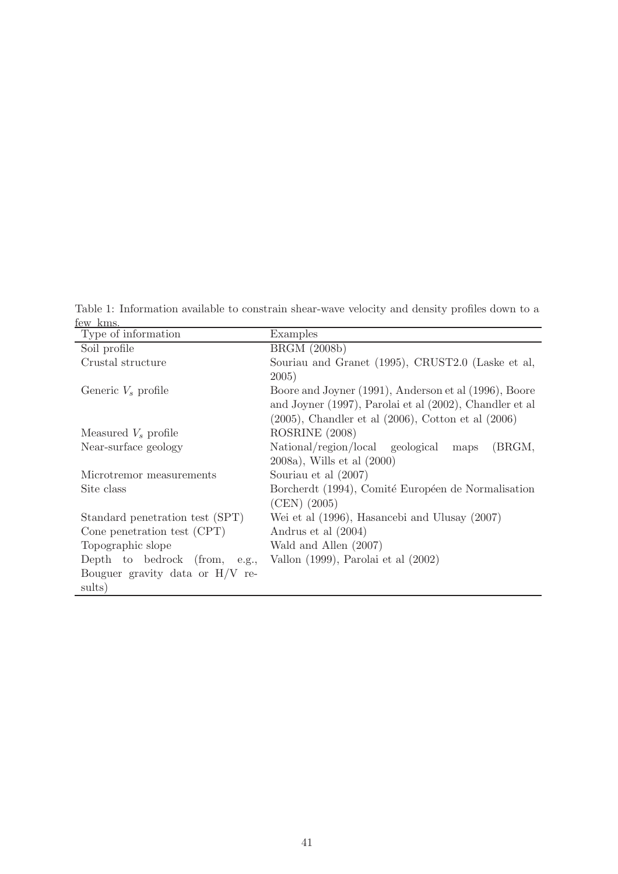Table 1: Information available to constrain shear-wave velocity and density profiles down to a few kms.  $\overline{\phantom{0}}$ 

| Type of information                         | Examples                                                                                                                                                                                |
|---------------------------------------------|-----------------------------------------------------------------------------------------------------------------------------------------------------------------------------------------|
| Soil profile                                | <b>BRGM</b> (2008b)                                                                                                                                                                     |
| Crustal structure                           | Souriau and Granet (1995), CRUST2.0 (Laske et al,                                                                                                                                       |
| Generic $V_s$ profile                       | 2005)<br>Boore and Joyner (1991), Anderson et al (1996), Boore<br>and Joyner (1997), Parolai et al (2002), Chandler et al<br>$(2005)$ , Chandler et al $(2006)$ , Cotton et al $(2006)$ |
| Measured $V_s$ profile                      | ROSRINE (2008)                                                                                                                                                                          |
| Near-surface geology                        | National/region/local geological<br>(BRGM,<br>maps<br>2008a), Wills et al (2000)                                                                                                        |
| Microtremor measurements                    | Souriau et al $(2007)$                                                                                                                                                                  |
| Site class                                  | Borcherdt (1994), Comité Européen de Normalisation<br>$(CEN)$ $(2005)$                                                                                                                  |
| Standard penetration test (SPT)             | Wei et al (1996), Hasancebi and Ulusay (2007)                                                                                                                                           |
| Cone penetration test (CPT)                 | Andrus et al (2004)                                                                                                                                                                     |
| Topographic slope                           | Wald and Allen (2007)                                                                                                                                                                   |
| Depth to bedrock (from, e.g.,               | Vallon $(1999)$ , Parolai et al $(2002)$                                                                                                                                                |
| Bouguer gravity data or $H/V$ re-<br>sults) |                                                                                                                                                                                         |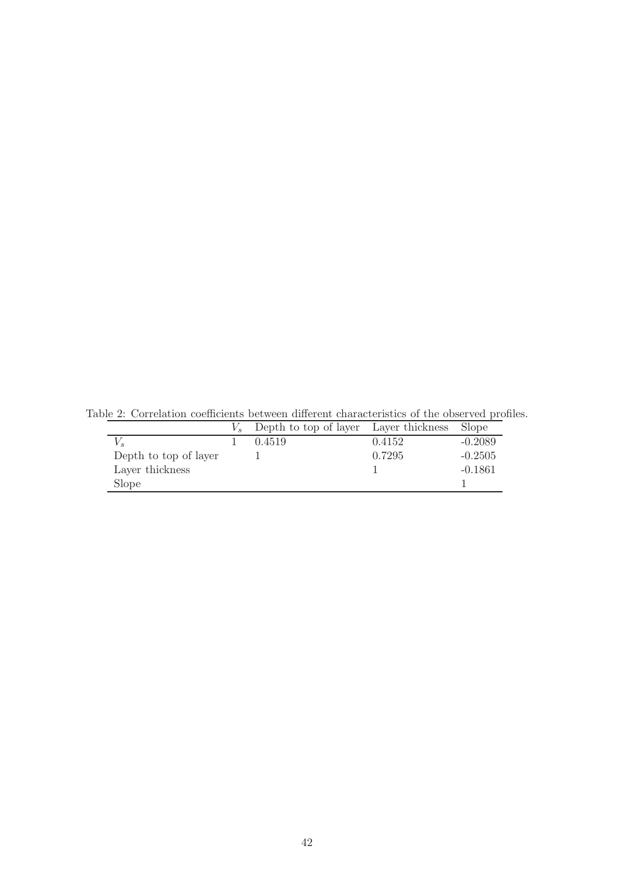|                       | Depth to top of layer Layer thickness Slope |        |           |
|-----------------------|---------------------------------------------|--------|-----------|
|                       | 0.4519                                      | 0.4152 | $-0.2089$ |
| Depth to top of layer |                                             | 0.7295 | $-0.2505$ |
| Layer thickness       |                                             |        | $-0.1861$ |
| Slope                 |                                             |        |           |

Table 2: Correlation coefficients between different characteristics of the observed profiles.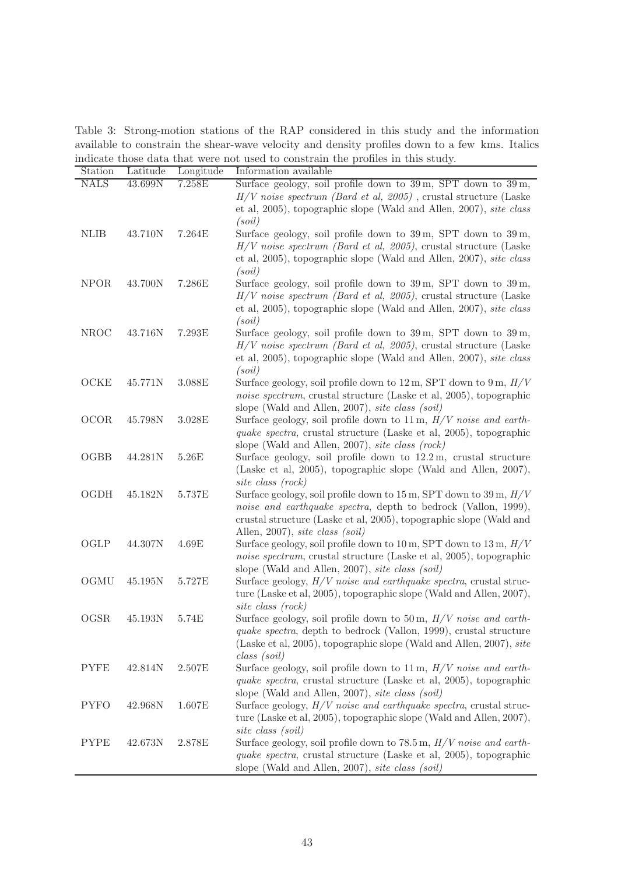Table 3: Strong-motion stations of the RAP considered in this study and the information available to constrain the shear-wave velocity and density profiles down to a few kms. Italics indicate those data that were not used to constrain the profiles in this study.  $\overline{\phantom{0}}$ 

| Station     | Latitude | Longitude | Information available                                                                     |
|-------------|----------|-----------|-------------------------------------------------------------------------------------------|
| <b>NALS</b> | 43.699N  | 7.258E    | Surface geology, soil profile down to 39m, SPT down to 39m,                               |
|             |          |           | $H/V$ noise spectrum (Bard et al, 2005), crustal structure (Laske                         |
|             |          |           | et al, 2005), topographic slope (Wald and Allen, 2007), <i>site class</i>                 |
|             |          |           | (soil)                                                                                    |
| <b>NLIB</b> | 43.710N  | 7.264E    | Surface geology, soil profile down to 39 m, SPT down to 39 m,                             |
|             |          |           | $H/V$ noise spectrum (Bard et al, 2005), crustal structure (Laske                         |
|             |          |           | et al, 2005), topographic slope (Wald and Allen, 2007), site class                        |
|             |          |           | (soil)                                                                                    |
| <b>NPOR</b> | 43.700N  | 7.286E    | Surface geology, soil profile down to $39 \,\mathrm{m}$ , SPT down to $39 \,\mathrm{m}$ , |
|             |          |           | $H/V$ noise spectrum (Bard et al, 2005), crustal structure (Laske                         |
|             |          |           | et al, 2005), topographic slope (Wald and Allen, 2007), site class                        |
|             |          |           | (soil)                                                                                    |
| <b>NROC</b> | 43.716N  | 7.293E    | Surface geology, soil profile down to $39 \,\mathrm{m}$ , SPT down to $39 \,\mathrm{m}$ , |
|             |          |           | $H/V$ noise spectrum (Bard et al, 2005), crustal structure (Laske                         |
|             |          |           | et al, 2005), topographic slope (Wald and Allen, 2007), site class                        |
|             |          |           | (soil)                                                                                    |
| OCKE        | 45.771N  | 3.088E    | Surface geology, soil profile down to $12 \text{ m}$ , SPT down to $9 \text{ m}$ , $H/V$  |
|             |          |           | noise spectrum, crustal structure (Laske et al, 2005), topographic                        |
|             |          |           | slope (Wald and Allen, 2007), site class (soil)                                           |
| <b>OCOR</b> | 45.798N  | 3.028E    | Surface geology, soil profile down to $11 \text{ m}$ , $H/V$ noise and earth-             |
|             |          |           | quake spectra, crustal structure (Laske et al, 2005), topographic                         |
|             |          |           | slope (Wald and Allen, 2007), site class (rock)                                           |
| OGBB        | 44.281N  | 5.26E     | Surface geology, soil profile down to $12.2 \text{ m}$ , crustal structure                |
|             |          |           | (Laske et al, 2005), topographic slope (Wald and Allen, 2007),                            |
|             |          |           | site class (rock)                                                                         |
| OGDH        | 45.182N  | 5.737E    | Surface geology, soil profile down to $15 \text{ m}$ , SPT down to $39 \text{ m}$ , $H/V$ |
|             |          |           | noise and earthquake spectra, depth to bedrock (Vallon, 1999),                            |
|             |          |           | crustal structure (Laske et al, 2005), topographic slope (Wald and                        |
|             |          |           | Allen, 2007), site class (soil)                                                           |
| OGLP        | 44.307N  | 4.69E     | Surface geology, soil profile down to $10 \text{ m}$ , SPT down to $13 \text{ m}$ , $H/V$ |
|             |          |           | noise spectrum, crustal structure (Laske et al, 2005), topographic                        |
|             |          |           | slope (Wald and Allen, 2007), site class (soil)                                           |
| OGMU        | 45.195N  | 5.727E    | Surface geology, $H/V$ noise and earthquake spectra, crustal struc-                       |
|             |          |           | ture (Laske et al, 2005), topographic slope (Wald and Allen, 2007),                       |
|             |          |           | site class (rock)                                                                         |
| OGSR        | 45.193N  | 5.74E     | Surface geology, soil profile down to 50 m, $H/V$ noise and earth-                        |
|             |          |           | quake spectra, depth to bedrock (Vallon, 1999), crustal structure                         |
|             |          |           | (Laske et al, 2005), topographic slope (Wald and Allen, 2007), site                       |
|             |          |           | class (soil)                                                                              |
| <b>PYFE</b> | 42.814N  | 2.507E    | Surface geology, soil profile down to $11 \text{ m}$ , $H/V$ noise and earth-             |
|             |          |           | <i>quake spectra</i> , crustal structure (Laske et al, 2005), topographic                 |
|             |          |           | slope (Wald and Allen, 2007), site class (soil)                                           |
| <b>PYFO</b> | 42.968N  | 1.607E    | Surface geology, $H/V$ noise and earthquake spectra, crustal struc-                       |
|             |          |           | ture (Laske et al, 2005), topographic slope (Wald and Allen, 2007),                       |
|             |          |           | site class (soil)                                                                         |
| <b>PYPE</b> | 42.673N  | 2.878E    | Surface geology, soil profile down to 78.5 m, $H/V$ noise and earth-                      |
|             |          |           | quake spectra, crustal structure (Laske et al, 2005), topographic                         |
|             |          |           | slope (Wald and Allen, 2007), site class (soil)                                           |